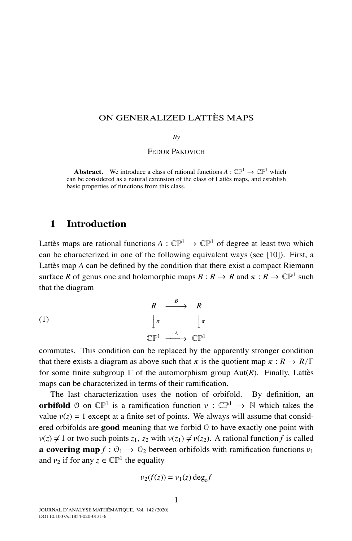## ON GENERALIZED LATTÈS MAPS

#### *By*

#### FEDOR PAKOVICH

**Abstract.** We introduce a class of rational functions  $A: \mathbb{CP}^1 \to \mathbb{CP}^1$  which can be considered as a natural extension of the class of Lattès maps, and establish basic properties of functions from this class.

## **1 Introduction**

Lattes maps are rational functions  $A : \mathbb{CP}^1 \to \mathbb{CP}^1$  of degree at least two which can be characterized in one of the following equivalent ways (see [10]). First, a Lattes map A can be defined by the condition that there exist a compact Riemann surface *R* of genus one and holomorphic maps  $B: R \to R$  and  $\pi: R \to \mathbb{CP}^1$  such that the diagram

(1)  
\n
$$
\begin{array}{ccc}\n & R & \xrightarrow{B} & R \\
 & \downarrow^{\pi} & & \downarrow^{\pi} \\
\mathbb{CP}^{1} & \xrightarrow{A} & \mathbb{CP}^{1}\n\end{array}
$$

commutes. This condition can be replaced by the apparently stronger condition that there exists a diagram as above such that  $\pi$  is the quotient map  $\pi : R \to R/\Gamma$ for some finite subgroup  $\Gamma$  of the automorphism group Aut(*R*). Finally, Lattes maps can be characterized in terms of their ramification.

The last characterization uses the notion of orbifold. By definition, an **orbifold**  $\varnothing$  on  $\mathbb{CP}^1$  is a ramification function  $\nu : \mathbb{CP}^1 \to \mathbb{N}$  which takes the value  $v(z) = 1$  except at a finite set of points. We always will assume that considered orbifolds are **good** meaning that we forbid O to have exactly one point with  $v(z) \neq 1$  or two such points  $z_1$ ,  $z_2$  with  $v(z_1) \neq v(z_2)$ . A rational function f is called **a covering map**  $f : \mathcal{O}_1 \to \mathcal{O}_2$  between orbifolds with ramification functions  $v_1$ and  $v_2$  if for any  $z \in \mathbb{CP}^1$  the equality

$$
\nu_2(f(z)) = \nu_1(z) \deg_z f
$$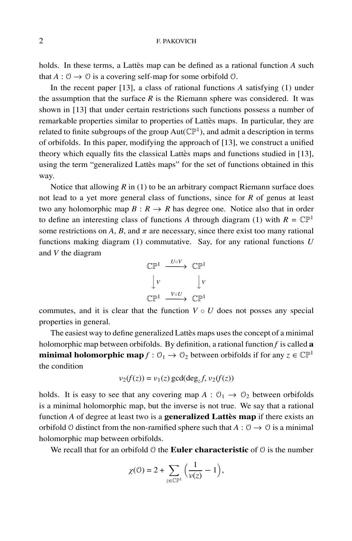holds. In these terms, a Lattes map can be defined as a rational function  $A$  such that  $A: \mathcal{O} \to \mathcal{O}$  is a covering self-map for some orbifold  $\mathcal{O}$ .

In the recent paper [13], a class of rational functions *A* satisfying (1) under the assumption that the surface  $R$  is the Riemann sphere was considered. It was shown in [13] that under certain restrictions such functions possess a number of remarkable properties similar to properties of Lattes maps. In particular, they are ` related to finite subgroups of the group  $Aut(\mathbb{CP}^1)$ , and admit a description in terms of orbifolds. In this paper, modifying the approach of [13], we construct a unified theory which equally fits the classical Latter maps and functions studied in  $[13]$ , using the term "generalized Lattes maps" for the set of functions obtained in this way.

Notice that allowing  $R$  in (1) to be an arbitrary compact Riemann surface does not lead to a yet more general class of functions, since for *R* of genus at least two any holomorphic map  $B: R \to R$  has degree one. Notice also that in order to define an interesting class of functions A through diagram (1) with  $R = \mathbb{CP}^1$ some restrictions on  $A$ ,  $B$ , and  $\pi$  are necessary, since there exist too many rational functions making diagram (1) commutative. Say, for any rational functions *U* and *V* the diagram



commutes, and it is clear that the function  $V \circ U$  does not posses any special properties in general.

The easiest way to define generalized Lattès maps uses the concept of a minimal holomorphic map between orbifolds. By definition, a rational function *f* is called **a minimal holomorphic map**  $f : \mathcal{O}_1 \to \mathcal{O}_2$  between orbifolds if for any  $z \in \mathbb{CP}^1$ the condition

$$
\nu_2(f(z)) = \nu_1(z) \gcd(\deg_z f, \nu_2(f(z))
$$

holds. It is easy to see that any covering map  $A: \mathcal{O}_1 \to \mathcal{O}_2$  between orbifolds is a minimal holomorphic map, but the inverse is not true. We say that a rational function *A* of degree at least two is a **generalized Lattes map** if there exists an orbifold  $\theta$  distinct from the non-ramified sphere such that  $A: \theta \to \theta$  is a minimal holomorphic map between orbifolds.

We recall that for an orbifold  $\theta$  the **Euler characteristic** of  $\theta$  is the number

$$
\chi(\mathcal{O}) = 2 + \sum_{z \in \mathbb{CP}^1} \Big( \frac{1}{\nu(z)} - 1 \Big),
$$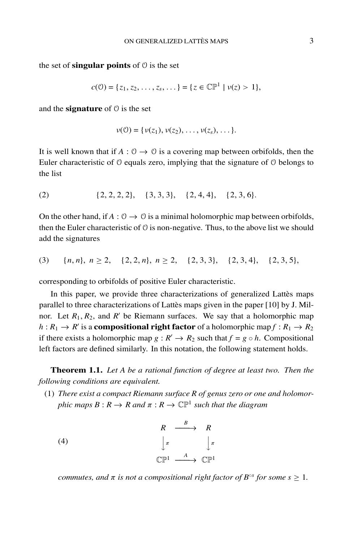the set of **singular points** of  $\theta$  is the set

$$
c(\mathcal{O}) = \{z_1, z_2, \ldots, z_s, \ldots\} = \{z \in \mathbb{CP}^1 \mid \nu(z) > 1\},\
$$

and the **signature** of  $\theta$  is the set

$$
\nu(0) = {\nu(z_1), \nu(z_2), \ldots, \nu(z_s), \ldots}.
$$

It is well known that if  $A: \mathcal{O} \to \mathcal{O}$  is a covering map between orbifolds, then the Euler characteristic of  $\theta$  equals zero, implying that the signature of  $\theta$  belongs to the list

$$
(2) \qquad \qquad \{2,2,2,2\}, \quad \{3,3,3\}, \quad \{2,4,4\}, \quad \{2,3,6\}.
$$

On the other hand, if  $A: \mathcal{O} \to \mathcal{O}$  is a minimal holomorphic map between orbifolds, then the Euler characteristic of  $\theta$  is non-negative. Thus, to the above list we should add the signatures

$$
(3) \qquad \{n,n\},\ n \ge 2,\quad \{2,2,n\},\ n \ge 2,\quad \{2,3,3\},\quad \{2,3,4\},\quad \{2,3,5\},
$$

corresponding to orbifolds of positive Euler characteristic.

In this paper, we provide three characterizations of generalized Lattes maps parallel to three characterizations of Lattès maps given in the paper [10] by J. Milnor. Let  $R_1, R_2$ , and  $R'$  be Riemann surfaces. We say that a holomorphic map  $h: R_1 \to R'$  is a **compositional right factor** of a holomorphic map  $f: R_1 \to R_2$ if there exists a holomorphic map  $g : R' \to R_2$  such that  $f = g \circ h$ . Compositional left factors are defined similarly. In this notation, the following statement holds.

**Theorem 1.1.** *Let A be a rational function of degree at least two. Then the following conditions are equivalent.*

(1) *There exist a compact Riemann surface R of genus zero or one and holomorphic maps*  $B: R \to R$  *and*  $\pi: R \to \mathbb{CP}^1$  *such that the diagram* 



*commutes, and*  $\pi$  *is not a compositional right factor of*  $B^{\circ s}$  *for some*  $s \geq 1$ *.*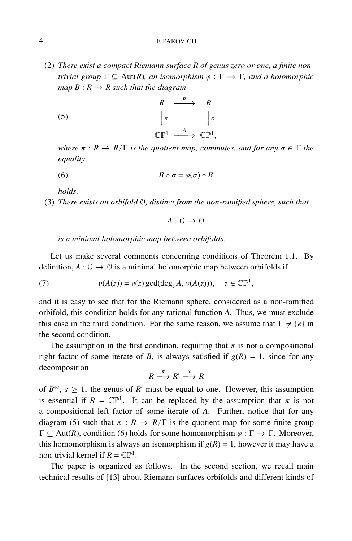#### 4 F. PAKOVICH

(2) *There exist a compact Riemann surface R of genus zero or one, a finite nontrivial group*  $\Gamma \subset \text{Aut}(R)$ , an isomorphism  $\varphi : \Gamma \to \Gamma$ , and a holomorphic *map*  $B: R \rightarrow R$  *such that the diagram* 

(5) 
$$
R \xrightarrow{\quad B \quad} R
$$
  
\n $\downarrow \pi \qquad \qquad \downarrow \pi$   
\n $\mathbb{CP}^1 \xrightarrow{A} \mathbb{CP}^1$ ,

*where*  $\pi$  :  $R \to R/\Gamma$  *is the quotient map, commutes, and for any*  $\sigma \in \Gamma$  *the equality*

$$
(6) \t\t\t B \circ \sigma = \varphi(\sigma) \circ B
$$

*holds.*

(3) *There exists an orbifold* O*, distinct from the non-ramified sphere, such that*

 $A: \mathcal{O} \rightarrow \mathcal{O}$ 

*is a minimal holomorphic map between orbifolds.*

Let us make several comments concerning conditions of Theorem 1.1. By definition,  $A: \mathcal{O} \to \mathcal{O}$  is a minimal holomorphic map between orbifolds if

(7) 
$$
v(A(z)) = v(z) \gcd(\deg_z A, v(A(z))), z \in \mathbb{CP}^1,
$$

and it is easy to see that for the Riemann sphere, considered as a non-ramified orbifold, this condition holds for any rational function *A*. Thus, we must exclude this case in the third condition. For the same reason, we assume that  $\Gamma \neq \{e\}$  in the second condition.

The assumption in the first condition, requiring that  $\pi$  is not a compositional right factor of some iterate of *B*, is always satisfied if  $g(R) = 1$ , since for any decomposition

$$
R \xrightarrow{\pi} R' \xrightarrow{w} R
$$

of  $B^{\circ s}$ ,  $s \ge 1$ , the genus of R' must be equal to one. However, this assumption is essential if  $R = \mathbb{CP}^1$ . It can be replaced by the assumption that  $\pi$  is not a compositional left factor of some iterate of *A*. Further, notice that for any diagram (5) such that  $\pi : R \to R/\Gamma$  is the quotient map for some finite group  $\Gamma \subseteq \text{Aut}(R)$ , condition (6) holds for some homomorphism  $\varphi : \Gamma \to \Gamma$ . Moreover, this homomorphism is always an isomorphism if  $g(R) = 1$ , however it may have a non-trivial kernel if  $R = \mathbb{CP}^1$ .

The paper is organized as follows. In the second section, we recall main technical results of [13] about Riemann surfaces orbifolds and different kinds of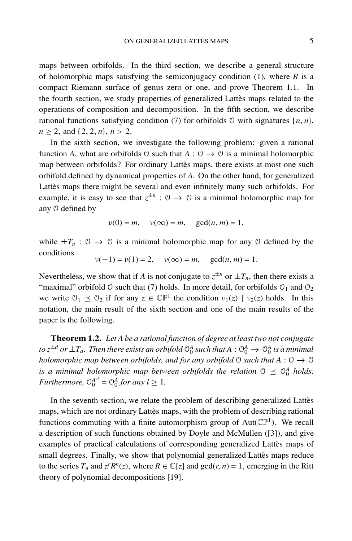maps between orbifolds. In the third section, we describe a general structure of holomorphic maps satisfying the semiconjugacy condition (1), where *R* is a compact Riemann surface of genus zero or one, and prove Theorem 1.1. In the fourth section, we study properties of generalized Lattes maps related to the operations of composition and decomposition. In the fifth section, we describe rational functions satisfying condition (7) for orbifolds 0 with signatures  $\{n, n\}$ ,  $n > 2$ , and  $\{2, 2, n\}$ ,  $n > 2$ .

In the sixth section, we investigate the following problem: given a rational function *A*, what are orbifolds  $\theta$  such that  $A : \theta \rightarrow \theta$  is a minimal holomorphic map between orbifolds? For ordinary Lattès maps, there exists at most one such orbifold defined by dynamical properties of *A*. On the other hand, for generalized Lattes maps there might be several and even infinitely many such orbifolds. For example, it is easy to see that  $z^{\pm n}$  :  $\theta \rightarrow \theta$  is a minimal holomorphic map for any O defined by

$$
v(0) = m, \quad v(\infty) = m, \quad \gcd(n, m) = 1,
$$

while  $\pm T_n$ :  $\theta \rightarrow \theta$  is a minimal holomorphic map for any  $\theta$  defined by the conditions

$$
\nu(-1) = \nu(1) = 2
$$
,  $\nu(\infty) = m$ ,  $\gcd(n, m) = 1$ .

Nevertheless, we show that if *A* is not conjugate to  $z^{\pm n}$  or  $\pm T_n$ , then there exists a "maximal" orbifold  $\theta$  such that (7) holds. In more detail, for orbifolds  $\theta_1$  and  $\theta_2$ we write  $\mathcal{O}_1 \preceq \mathcal{O}_2$  if for any  $z \in \mathbb{CP}^1$  the condition  $v_1(z) \mid v_2(z)$  holds. In this notation, the main result of the sixth section and one of the main results of the paper is the following.

**Theorem 1.2.** *Let A be a rational function of degree at least two not conjugate* to  $z^{\pm d}$  or  $\pm T_d$ . Then there exists an orbifold  $\mathbb{O}_0^A$  such that  $A:\mathbb{O}_0^A\to\mathbb{O}_0^A$  is a minimal *holomorphic map between orbifolds, and for any orbifold*  $\theta$  *such that*  $A : \theta \rightarrow \theta$ *is a minimal holomorphic map between orbifolds the relation*  $0 \leq 0<sup>A</sup>$  *holds. Furthermore,*  $\mathcal{O}_0^{A^{\circ l}} = \mathcal{O}_0^A$  *for any*  $l \geq 1$ *.* 

In the seventh section, we relate the problem of describing generalized Lattès maps, which are not ordinary Lattès maps, with the problem of describing rational functions commuting with a finite automorphism group of  $Aut(\mathbb{CP}^1)$ . We recall a description of such functions obtained by Doyle and McMullen ([3]), and give examples of practical calculations of corresponding generalized Lattès maps of small degrees. Finally, we show that polynomial generalized Lattes maps reduce to the series  $T_n$  and  $z^r R^n(z)$ , where  $R \in \mathbb{C}[z]$  and  $gcd(r, n) = 1$ , emerging in the Ritt theory of polynomial decompositions [19].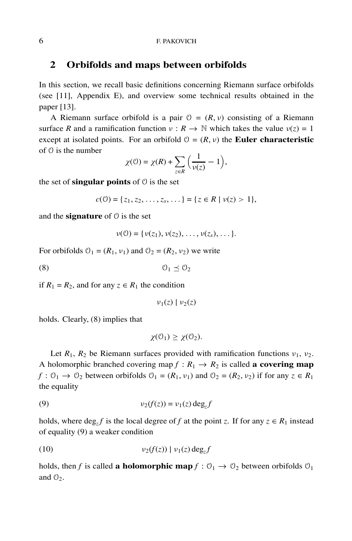## **2 Orbifolds and maps between orbifolds**

In this section, we recall basic definitions concerning Riemann surface orbifolds (see [11], Appendix E), and overview some technical results obtained in the paper [13].

A Riemann surface orbifold is a pair  $\mathcal{O} = (R, \nu)$  consisting of a Riemann surface *R* and a ramification function  $v : R \to \mathbb{N}$  which takes the value  $v(z) = 1$ except at isolated points. For an orbifold  $\mathcal{O} = (R, \nu)$  the **Euler characteristic** of O is the number

$$
\chi(\mathcal{O}) = \chi(R) + \sum_{z \in R} \left( \frac{1}{\nu(z)} - 1 \right),
$$

the set of **singular points** of  $\theta$  is the set

$$
c(\mathcal{O}) = \{z_1, z_2, \ldots, z_s, \ldots\} = \{z \in R \mid \nu(z) > 1\},\
$$

and the **signature** of  $\theta$  is the set

$$
\nu(0) = \{ \nu(z_1), \nu(z_2), \ldots, \nu(z_s), \ldots \}.
$$

For orbifolds  $\mathcal{O}_1 = (R_1, \nu_1)$  and  $\mathcal{O}_2 = (R_2, \nu_2)$  we write

(8)  $\qquad \qquad \mathcal{O}_1 \preceq \mathcal{O}_2$ 

if  $R_1 = R_2$ , and for any  $z \in R_1$  the condition

 $\nu_1(z) | \nu_2(z)$ 

holds. Clearly, (8) implies that

$$
\chi(\mathcal{O}_1) \geq \chi(\mathcal{O}_2).
$$

Let  $R_1$ ,  $R_2$  be Riemann surfaces provided with ramification functions  $v_1$ ,  $v_2$ . A holomorphic branched covering map  $f : R_1 \to R_2$  is called **a covering map**  $f: \mathcal{O}_1 \to \mathcal{O}_2$  between orbifolds  $\mathcal{O}_1 = (R_1, v_1)$  and  $\mathcal{O}_2 = (R_2, v_2)$  if for any  $z \in R_1$ the equality

$$
(9) \t\t\t v_2(f(z)) = v_1(z) \deg_z f
$$

holds, where  $\deg_z f$  is the local degree of *f* at the point *z*. If for any  $z \in R_1$  instead of equality (9) a weaker condition

$$
(10) \t\t\t v_2(f(z)) | v_1(z) \deg_z f
$$

holds, then *f* is called **a holomorphic map**  $f: \mathcal{O}_1 \to \mathcal{O}_2$  between orbifolds  $\mathcal{O}_1$ and  $\mathcal{O}_2$ .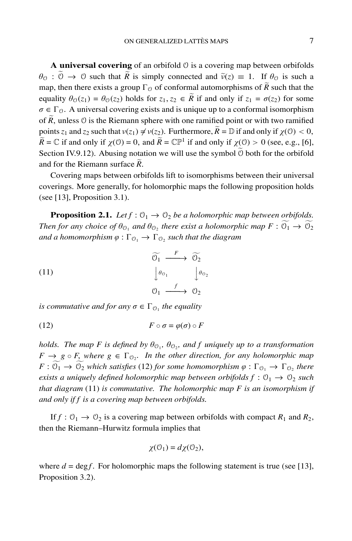**A universal covering** of an orbifold  $\theta$  is a covering map between orbifolds  $\theta_0$  :  $0 \to 0$  such that *R* is simply connected and  $\tilde{v}(z) \equiv 1$ . If  $\theta_0$  is such a map, then there exists a group  $\Gamma_{\mathcal{O}}$  of conformal automorphisms of  $\widetilde{R}$  such that the equality  $\theta_0(z_1) = \theta_0(z_2)$  holds for  $z_1, z_2 \in \tilde{R}$  if and only if  $z_1 = \sigma(z_2)$  for some  $\sigma \in \Gamma_{\mathcal{O}}$ . A universal covering exists and is unique up to a conformal isomorphism of  $\widetilde{R}$ , unless  $\theta$  is the Riemann sphere with one ramified point or with two ramified points  $z_1$  and  $z_2$  such that  $v(z_1) \neq v(z_2)$ . Furthermore,  $\tilde{R} = \mathbb{D}$  if and only if  $\chi(0) < 0$ ,  $\widetilde{R} = \mathbb{C}$  if and only if  $\chi(\mathbb{O}) = 0$ , and  $\widetilde{R} = \mathbb{CP}^1$  if and only if  $\chi(\mathbb{O}) > 0$  (see, e.g., [6], Section IV.9.12). Abusing notation we will use the symbol  $\ddot{\odot}$  both for the orbifold and for the Riemann surface *R*.

Covering maps between orbifolds lift to isomorphisms between their universal coverings. More generally, for holomorphic maps the following proposition holds (see [13], Proposition 3.1).

**Proposition 2.1.** *Let*  $f: \mathcal{O}_1 \to \mathcal{O}_2$  *be a holomorphic map between orbifolds. Then for any choice of*  $\theta_{\mathcal{O}_1}$  *and*  $\theta_{\mathcal{O}_2}$  *there exist a holomorphic map*  $F: \mathcal{O}_1 \to \mathcal{O}_2$ *and a homomorphism*  $\varphi : \Gamma_{\mathcal{O}_1} \to \Gamma_{\mathcal{O}_2}$  *such that the diagram* 

(11)  
\n
$$
\begin{array}{ccc}\n\widetilde{\mathcal{O}_1} & \xrightarrow{F} & \widetilde{\mathcal{O}_2} \\
\downarrow \theta_{\mathcal{O}_1} & & \downarrow \theta_{\mathcal{O}_2} \\
\mathcal{O}_1 & \xrightarrow{f} & \mathcal{O}_2\n\end{array}
$$

*is commutative and for any*  $\sigma \in \Gamma_{\mathcal{O}_1}$  *the equality* 

$$
(12) \t\t\t F \circ \sigma = \varphi(\sigma) \circ F
$$

*holds. The map F is defined by*  $\theta_{\mathcal{O}_1}$ ,  $\theta_{\mathcal{O}_2}$ , and f uniquely up to a transformation  $F \to g \circ F$ , where  $g \in \Gamma_{\mathcal{O}_{2}}$ . In the other direction, for any holomorphic map  $F: \mathcal{O}_1 \to \mathcal{O}_2$  *which satisfies* (12) *for some homomorphism*  $\varphi: \Gamma_{\mathcal{O}_1} \to \Gamma_{\mathcal{O}_2}$  *there exists a uniquely defined holomorphic map between orbifolds*  $f: \mathcal{O}_1 \rightarrow \mathcal{O}_2$  *such that diagram* (11) *is commutative. The holomorphic map F is an isomorphism if and only if f is a covering map between orbifolds.*

If  $f: \mathcal{O}_1 \to \mathcal{O}_2$  is a covering map between orbifolds with compact  $R_1$  and  $R_2$ , then the Riemann–Hurwitz formula implies that

$$
\chi(\mathcal{O}_1) = d\chi(\mathcal{O}_2),
$$

where  $d = \text{deg } f$ . For holomorphic maps the following statement is true (see [13], Proposition 3.2).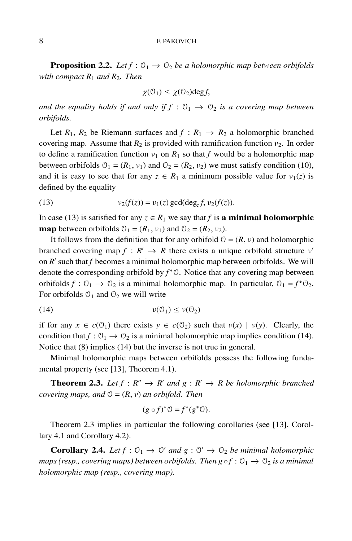#### 8 F. PAKOVICH

**Proposition 2.2.** *Let*  $f : \mathcal{O}_1 \to \mathcal{O}_2$  *be a holomorphic map between orbifolds with compact*  $R_1$  *and*  $R_2$ *. Then* 

$$
\chi(\mathcal{O}_1) \leq \chi(\mathcal{O}_2) \text{deg} f,
$$

*and the equality holds if and only if f* :  $\mathcal{O}_1 \rightarrow \mathcal{O}_2$  *is a covering map between orbifolds.*

Let  $R_1$ ,  $R_2$  be Riemann surfaces and  $f: R_1 \rightarrow R_2$  a holomorphic branched covering map. Assume that  $R_2$  is provided with ramification function  $v_2$ . In order to define a ramification function  $v_1$  on  $R_1$  so that  $f$  would be a holomorphic map between orbifolds  $\mathcal{O}_1 = (R_1, \nu_1)$  and  $\mathcal{O}_2 = (R_2, \nu_2)$  we must satisfy condition (10), and it is easy to see that for any  $z \in R_1$  a minimum possible value for  $v_1(z)$  is defined by the equality

(13) 
$$
v_2(f(z)) = v_1(z) \gcd(\deg_z f, v_2(f(z))).
$$

In case (13) is satisfied for any  $z \in R_1$  we say that *f* is **a minimal holomorphic map** between orbifolds  $\varnothing_1 = (R_1, \nu_1)$  and  $\varnothing_2 = (R_2, \nu_2)$ .

It follows from the definition that for any orbifold  $\mathcal{O} = (R, \nu)$  and holomorphic branched covering map  $f : R' \to R$  there exists a unique orbifold structure  $v'$ on  $R'$  such that  $f$  becomes a minimal holomorphic map between orbifolds. We will denote the corresponding orbifold by  $f^* \mathcal{O}$ . Notice that any covering map between orbifolds  $f: \mathcal{O}_1 \to \mathcal{O}_2$  is a minimal holomorphic map. In particular,  $\mathcal{O}_1 = f^* \mathcal{O}_2$ . For orbifolds  $O_1$  and  $O_2$  we will write

$$
\nu(\mathcal{O}_1) \leq \nu(\mathcal{O}_2)
$$

if for any  $x \in c(\mathcal{O}_1)$  there exists  $y \in c(\mathcal{O}_2)$  such that  $v(x) \mid v(y)$ . Clearly, the condition that  $f: \mathcal{O}_1 \to \mathcal{O}_2$  is a minimal holomorphic map implies condition (14). Notice that (8) implies (14) but the inverse is not true in general.

Minimal holomorphic maps between orbifolds possess the following fundamental property (see [13], Theorem 4.1).

**Theorem 2.3.** *Let*  $f : R'' \to R'$  *and*  $g : R' \to R$  *be holomorphic branched covering maps, and*  $\mathcal{O} = (R, v)$  *an orbifold. Then* 

$$
(g \circ f)^* \mathcal{O} = f^*(g^* \mathcal{O}).
$$

Theorem 2.3 implies in particular the following corollaries (see [13], Corollary 4.1 and Corollary 4.2).

**Corollary 2.4.** *Let*  $f : \mathcal{O}_1 \to \mathcal{O}'$  *and*  $g : \mathcal{O}' \to \mathcal{O}_2$  *be minimal holomorphic maps (resp., covering maps) between orbifolds. Then*  $g \circ f : \mathcal{O}_1 \to \mathcal{O}_2$  *is a minimal holomorphic map (resp., covering map).*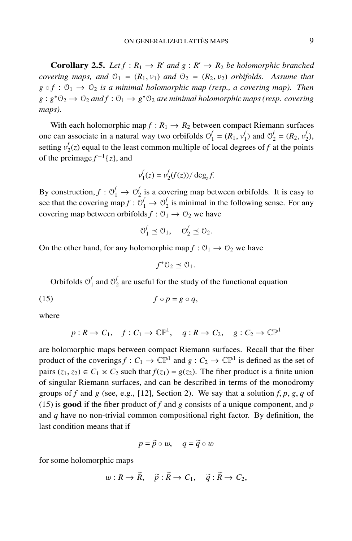**Corollary 2.5.** *Let*  $f : R_1 \to R'$  *and*  $g : R' \to R_2$  *be holomorphic branched covering maps, and*  $\mathcal{O}_1 = (R_1, \nu_1)$  *and*  $\mathcal{O}_2 = (R_2, \nu_2)$  *orbifolds. Assume that*  $g \circ f : \mathcal{O}_1 \to \mathcal{O}_2$  *is a minimal holomorphic map (resp., a covering map). Then*  $g: g^* \mathbb{O}_2 \to \mathbb{O}_2$  *and*  $f: \mathbb{O}_1 \to g^* \mathbb{O}_2$  *are minimal holomorphic maps (resp. covering maps).*

With each holomorphic map  $f : R_1 \to R_2$  between compact Riemann surfaces one can associate in a natural way two orbifolds  $\mathcal{O}_1^f = (R_1, v_1^f)$  and  $\mathcal{O}_2^f = (R_2, v_2^f)$ , setting  $v_2^f(z)$  equal to the least common multiple of local degrees of *f* at the points of the preimage  $f^{-1}{z}$ , and

$$
v_1^f(z) = v_2^f(f(z)) / \deg_z f.
$$

By construction,  $f: \mathcal{O}_1^f \to \mathcal{O}_2^f$  is a covering map between orbifolds. It is easy to see that the covering map  $f: \mathcal{O}_1^f \to \mathcal{O}_2^f$  is minimal in the following sense. For any covering map between orbifolds  $f: \mathcal{O}_1 \to \mathcal{O}_2$  we have

$$
O_1^f \preceq O_1, \quad O_2^f \preceq O_2.
$$

On the other hand, for any holomorphic map  $f: \mathcal{O}_1 \to \mathcal{O}_2$  we have

$$
f^*\mathcal{O}_2\preceq \mathcal{O}_1.
$$

Orbifolds  $\mathcal{O}_1^f$  and  $\mathcal{O}_2^f$  are useful for the study of the functional equation

(15)  $f \circ p = g \circ q$ ,

where

$$
p: R \to C_1
$$
,  $f: C_1 \to \mathbb{CP}^1$ ,  $q: R \to C_2$ ,  $g: C_2 \to \mathbb{CP}^1$ 

are holomorphic maps between compact Riemann surfaces. Recall that the fiber product of the coverings  $f: C_1 \to \mathbb{CP}^1$  and  $g: C_2 \to \mathbb{CP}^1$  is defined as the set of pairs  $(z_1, z_2) \in C_1 \times C_2$  such that  $f(z_1) = g(z_2)$ . The fiber product is a finite union of singular Riemann surfaces, and can be described in terms of the monodromy groups of *f* and *g* (see, e.g., [12], Section 2). We say that a solution *f*, *p*, *g*, *q* of (15) is **good** if the fiber product of *f* and *g* consists of a unique component, and *p* and *q* have no non-trivial common compositional right factor. By definition, the last condition means that if

$$
p = \widetilde{p} \circ w, \quad q = \widetilde{q} \circ w
$$

for some holomorphic maps

$$
w: R \to \widetilde{R}, \quad \widetilde{p}: \widetilde{R} \to C_1, \quad \widetilde{q}: \widetilde{R} \to C_2,
$$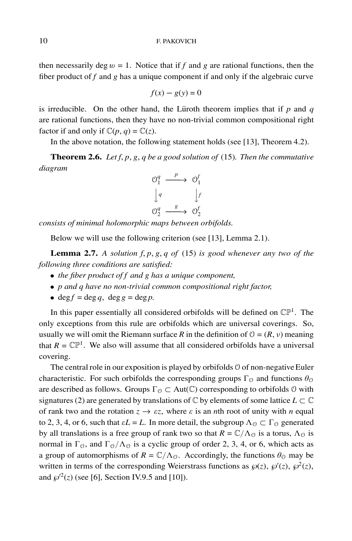then necessarily deg  $w = 1$ . Notice that if  $f$  and  $g$  are rational functions, then the fiber product of *f* and *g* has a unique component if and only if the algebraic curve

$$
f(x) - g(y) = 0
$$

is irreducible. On the other hand, the Lüroth theorem implies that if  $p$  and  $q$ are rational functions, then they have no non-trivial common compositional right factor if and only if  $\mathbb{C}(p, q) = \mathbb{C}(z)$ .

In the above notation, the following statement holds (see [13], Theorem 4.2).

**Theorem 2.6.** *Let f*, *p*, *g*, *q be a good solution of* (15)*. Then the commutative diagram*



*consists of minimal holomorphic maps between orbifolds.*

Below we will use the following criterion (see [13], Lemma 2.1).

**Lemma 2.7.** *A solution f*, *p*, *g*, *q of* (15) *is good whenever any two of the following three conditions are satisfied:*

- *the fiber product of f and g has a unique component,*
- *p and q have no non-trivial common compositional right factor,*
- deg  $f = \deg q$ , deg  $g = \deg p$ .

In this paper essentially all considered orbifolds will be defined on  $\mathbb{CP}^1$ . The only exceptions from this rule are orbifolds which are universal coverings. So, usually we will omit the Riemann surface *R* in the definition of  $\mathcal{O} = (R, v)$  meaning that  $R = \mathbb{CP}^1$ . We also will assume that all considered orbifolds have a universal covering.

The central role in our exposition is played by orbifolds  $\theta$  of non-negative Euler characteristic. For such orbifolds the corresponding groups  $\Gamma_{\mathcal{O}}$  and functions  $\theta_{\mathcal{O}}$ are described as follows. Groups  $\Gamma_{\mathcal{O}} \subset \text{Aut}(\mathbb{C})$  corresponding to orbifolds  $\mathcal{O}$  with signatures (2) are generated by translations of  $\mathbb C$  by elements of some lattice  $L \subset \mathbb C$ of rank two and the rotation  $z \rightarrow \varepsilon z$ , where  $\varepsilon$  is an *n*th root of unity with *n* equal to 2, 3, 4, or 6, such that  $\varepsilon L = L$ . In more detail, the subgroup  $\Lambda_{\mathcal{O}} \subset \Gamma_{\mathcal{O}}$  generated by all translations is a free group of rank two so that  $R = \mathbb{C}/\Lambda_0$  is a torus,  $\Lambda_0$  is normal in  $\Gamma_0$ , and  $\Gamma_0/\Lambda_0$  is a cyclic group of order 2, 3, 4, or 6, which acts as a group of automorphisms of  $R = \mathbb{C}/\Lambda_{\mathcal{O}}$ . Accordingly, the functions  $\theta_{\mathcal{O}}$  may be written in terms of the corresponding Weierstrass functions as  $\wp(z)$ ,  $\wp'(z)$ ,  $\wp^2(z)$ , and  $\wp^2(z)$  (see [6], Section IV.9.5 and [10]).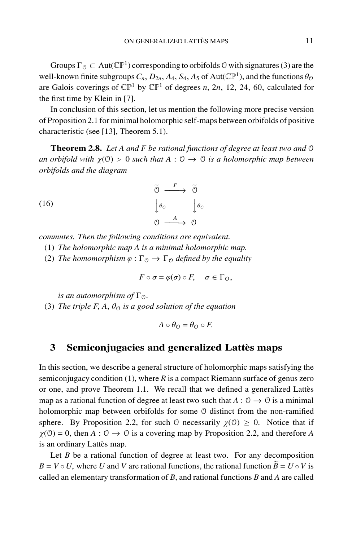Groups  $\Gamma_{\mathcal{O}} \subset \text{Aut}(\mathbb{CP}^1)$  corresponding to orbifolds  $\mathcal{O}$  with signatures (3) are the well-known finite subgroups  $C_n$ ,  $D_{2n}$ ,  $A_4$ ,  $S_4$ ,  $A_5$  of Aut( $\mathbb{CP}^1$ ), and the functions  $\theta_{\mathcal{O}}$ are Galois coverings of  $\mathbb{CP}^1$  by  $\mathbb{CP}^1$  of degrees *n*, 2*n*, 12, 24, 60, calculated for the first time by Klein in [7].

In conclusion of this section, let us mention the following more precise version of Proposition 2.1 for minimal holomorphic self-maps between orbifolds of positive characteristic (see [13], Theorem 5.1).

**Theorem 2.8.** *Let A and F be rational functions of degree at least two and* O *an orbifold with*  $\chi$ (0) > 0 *such that*  $A: 0 \rightarrow 0$  *is a holomorphic map between orbifolds and the diagram*

(16)  
\n
$$
\begin{array}{ccc}\n\widetilde{0} & \xrightarrow{F} & \widetilde{0} \\
\downarrow \theta_0 & & \downarrow \theta_0 \\
\theta & & \xrightarrow{A} & \theta\n\end{array}
$$

*commutes. Then the following conditions are equivalent.*

- (1) *The holomorphic map A is a minimal holomorphic map.*
- (2) *The homomorphism*  $\varphi : \Gamma_{\mathcal{O}} \to \Gamma_{\mathcal{O}}$  *defined by the equality*

$$
F\circ\sigma=\varphi(\sigma)\circ F,\quad \sigma\in\Gamma_{\mathcal{O}},
$$

*is an automorphism of*  $\Gamma_{\Omega}$ *.* 

(3) *The triple F, A,*  $\theta_{\mathcal{O}}$  *is a good solution of the equation* 

$$
A\circ\theta_{\mathcal{O}}=\theta_{\mathcal{O}}\circ F.
$$

## **3** Semiconjugacies and generalized Lattès maps

In this section, we describe a general structure of holomorphic maps satisfying the semiconjugacy condition  $(1)$ , where  $R$  is a compact Riemann surface of genus zero or one, and prove Theorem 1.1. We recall that we defined a generalized Lattès map as a rational function of degree at least two such that  $A: \mathcal{O} \to \mathcal{O}$  is a minimal holomorphic map between orbifolds for some O distinct from the non-ramified sphere. By Proposition 2.2, for such  $\theta$  necessarily  $\chi(\theta) \ge 0$ . Notice that if  $\chi$ (0) = 0, then *A* : 0  $\rightarrow$  0 is a covering map by Proposition 2.2, and therefore *A* is an ordinary Lattès map.

Let *B* be a rational function of degree at least two. For any decomposition  $B = V \circ U$ , where *U* and *V* are rational functions, the rational function  $B = U \circ V$  is called an elementary transformation of *B*, and rational functions *B* and *A* are called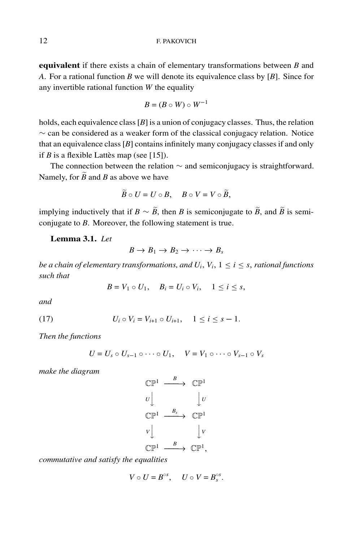**equivalent** if there exists a chain of elementary transformations between *B* and *A*. For a rational function *B* we will denote its equivalence class by [*B*]. Since for any invertible rational function *W* the equality

$$
B=(B\circ W)\circ W^{-1}
$$

holds, each equivalence class [*B*] is a union of conjugacy classes. Thus, the relation ∼ can be considered as a weaker form of the classical conjugacy relation. Notice that an equivalence class [*B*] contains infinitely many conjugacy classes if and only if  $B$  is a flexible Lattès map (see [15]).

The connection between the relation ∼ and semiconjugacy is straightforward. Namely, for  $\widetilde{B}$  and *B* as above we have

$$
\widetilde{B}\circ U=U\circ B,\quad B\circ V=V\circ\widetilde{B},
$$

implying inductively that if *B* ∼  $\widetilde{B}$ , then *B* is semiconjugate to  $\widetilde{B}$ , and  $\widetilde{B}$  is semiconjugate to *B*. Moreover, the following statement is true.

### **Lemma 3.1.** *Let*

$$
B\to B_1\to B_2\to\cdots\to B_s
$$

*be a chain of elementary transformations, and*  $U_i$ *,*  $V_i$ *,*  $1 \le i \le s$ *, rational functions such that*

 $B = V_1 \circ U_1$ ,  $B_i = U_i \circ V_i$ ,  $1 \le i \le s$ ,

*and*

(17) 
$$
U_i \circ V_i = V_{i+1} \circ U_{i+1}, \quad 1 \leq i \leq s-1.
$$

*Then the functions*

$$
U = U_s \circ U_{s-1} \circ \cdots \circ U_1, \quad V = V_1 \circ \cdots \circ V_{s-1} \circ V_s
$$

*make the diagram*

$$
\begin{array}{ccc}\n\mathbb{CP}^1 & \xrightarrow{B} & \mathbb{CP}^1 \\
U & & \downarrow U \\
\mathbb{CP}^1 & \xrightarrow{B_s} & \mathbb{CP}^1 \\
V & & \downarrow V \\
\mathbb{CP}^1 & \xrightarrow{B} & \mathbb{CP}^1,\n\end{array}
$$

*commutative and satisfy the equalities*

$$
V\circ U=B^{\circ s},\quad U\circ V=B^{\circ s}_s.
$$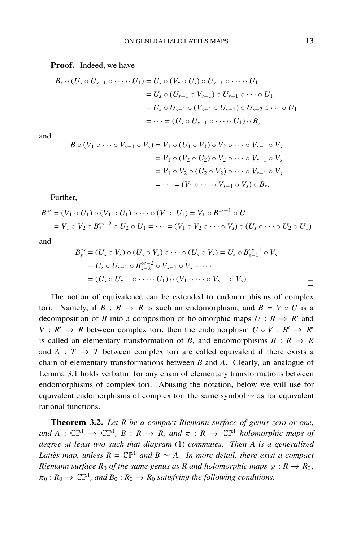#### **Proof.** Indeed, we have

$$
B_{s} \circ (U_{s} \circ U_{s-1} \circ \cdots \circ U_{1}) = U_{s} \circ (V_{s} \circ U_{s}) \circ U_{s-1} \circ \cdots \circ U_{1}
$$
  
=  $U_{s} \circ (U_{s-1} \circ V_{s-1}) \circ U_{s-1} \circ \cdots \circ U_{1}$   
=  $U_{s} \circ U_{s-1} \circ (V_{s-1} \circ U_{s-1}) \circ U_{s-2} \circ \cdots \circ U_{1}$   
=  $\cdots = (U_{s} \circ U_{s-1} \circ \cdots \circ U_{1}) \circ B$ ,

and

$$
B \circ (V_1 \circ \cdots \circ V_{s-1} \circ V_s) = V_1 \circ (U_1 \circ V_1) \circ V_2 \circ \cdots \circ V_{s-1} \circ V_s
$$
  
=  $V_1 \circ (V_2 \circ U_2) \circ V_2 \circ \cdots \circ V_{s-1} \circ V_s$   
=  $V_1 \circ V_2 \circ (U_2 \circ V_2) \circ \cdots \circ V_{s-1} \circ V_s$   
=  $\cdots = (V_1 \circ \cdots \circ V_{s-1} \circ V_s) \circ B_s.$ 

Further,

$$
B^{\circ s} = (V_1 \circ U_1) \circ (V_1 \circ U_1) \circ \cdots \circ (V_1 \circ U_1) = V_1 \circ B_1^{\circ s-1} \circ U_1
$$
  
=  $V_1 \circ V_2 \circ B_2^{\circ s-2} \circ U_2 \circ U_1 = \cdots = (V_1 \circ V_2 \circ \cdots \circ V_s) \circ (U_s \circ \cdots \circ U_2 \circ U_1)$ 

and

$$
B_s^{\circ s} = (U_s \circ V_s) \circ (U_s \circ V_s) \circ \cdots \circ (U_s \circ V_s) = U_s \circ B_{s-1}^{\circ s-1} \circ V_s
$$
  
=  $U_s \circ U_{s-1} \circ B_{s-2}^{\circ s-2} \circ V_{s-1} \circ V_s = \cdots$   
=  $(U_s \circ U_{s-1} \circ \cdots \circ U_1) \circ (V_1 \circ \cdots \circ V_{s-1} \circ V_s).$ 

The notion of equivalence can be extended to endomorphisms of complex tori. Namely, if  $B: R \to R$  is such an endomorphism, and  $B = V \circ U$  is a decomposition of *B* into a composition of holomorphic maps  $U: R \rightarrow R'$  and  $V: R' \rightarrow R$  between complex tori, then the endomorphism  $U \circ V: R' \rightarrow R'$ is called an elementary transformation of *B*, and endomorphisms  $B: R \rightarrow R$ and  $A: T \rightarrow T$  between complex tori are called equivalent if there exists a chain of elementary transformations between *B* and *A*. Clearly, an analogue of Lemma 3.1 holds verbatim for any chain of elementary transformations between endomorphisms of complex tori. Abusing the notation, below we will use for equivalent endomorphisms of complex tori the same symbol ∼ as for equivalent rational functions.

**Theorem 3.2.** *Let R be a compact Riemann surface of genus zero or one, and*  $A: \mathbb{CP}^1 \to \mathbb{CP}^1$ ,  $B: R \to R$ , and  $\pi: R \to \mathbb{CP}^1$  *holomorphic maps of degree at least two such that diagram* (1) *commutes. Then A is a generalized Lattès map, unless*  $R = \mathbb{CP}^1$  *and*  $B \sim A$ . *In more detail, there exist a compact Riemann surface*  $R_0$  *of the same genus as* R *and holomorphic maps*  $\psi : R \to R_0$ ,  $\pi_0 : R_0 \to \mathbb{CP}^1$ , and  $B_0 : R_0 \to R_0$  *satisfying the following conditions.*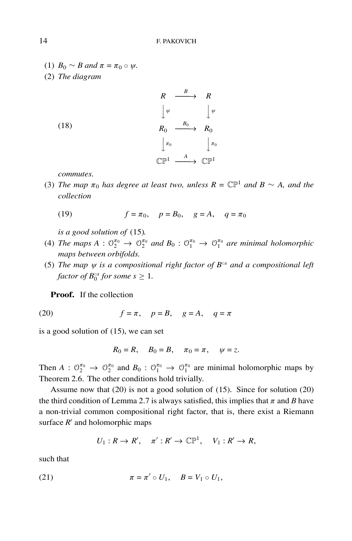- (1)  $B_0 \sim B$  and  $\pi = \pi_0 \circ \psi$ .
- (2) *The diagram*

|      |                                                               | $\boldsymbol{R}$ |
|------|---------------------------------------------------------------|------------------|
|      | $\left  \begin{array}{ccc} \psi & \end{array} \right $ $\psi$ |                  |
| (18) | $\frac{B_0}{\cdots}$<br>$R_0$                                 | $R_0$            |
|      | $\pi_0$ $\pi_0$                                               |                  |
|      | $\frac{A}{\sqrt{2}}$<br>$\mathbb{C} \mathbb{P}^1$             |                  |

*commutes.*

(3) *The map*  $\pi_0$  *has degree at least two, unless*  $R = \mathbb{CP}^1$  *and*  $B \sim A$ *, and the collection*

(19) 
$$
f = \pi_0
$$
,  $p = B_0$ ,  $g = A$ ,  $q = \pi_0$ 

*is a good solution of* (15)*.*

- (4) *The maps*  $A: \mathbb{O}_2^{\pi_0} \to \mathbb{O}_2^{\pi_0}$  and  $B_0: \mathbb{O}_1^{\pi_0} \to \mathbb{O}_1^{\pi_0}$  are minimal holomorphic *maps between orbifolds.*
- (5) *The map* ψ *is a compositional right factor of B*◦*<sup>s</sup> and a compositional left factor of*  $B_0^{\circ s}$  *for some s*  $\geq 1$ *.*

**Proof.** If the collection

$$
(20) \t\t f = \pi, \quad p = B, \quad g = A, \quad q = \pi
$$

is a good solution of (15), we can set

$$
R_0 = R, \quad B_0 = B, \quad \pi_0 = \pi, \quad \psi = z.
$$

Then  $A: \mathbb{O}_2^{\pi_0} \to \mathbb{O}_2^{\pi_0}$  and  $B_0: \mathbb{O}_1^{\pi_0} \to \mathbb{O}_1^{\pi_0}$  are minimal holomorphic maps by Theorem 2.6. The other conditions hold trivially.

Assume now that (20) is not a good solution of (15). Since for solution (20) the third condition of Lemma 2.7 is always satisfied, this implies that  $\pi$  and *B* have a non-trivial common compositional right factor, that is, there exist a Riemann surface  $R'$  and holomorphic maps

$$
U_1: R \to R', \quad \pi': R' \to \mathbb{CP}^1, \quad V_1: R' \to R,
$$

such that

(21) 
$$
\pi = \pi' \circ U_1, \quad B = V_1 \circ U_1,
$$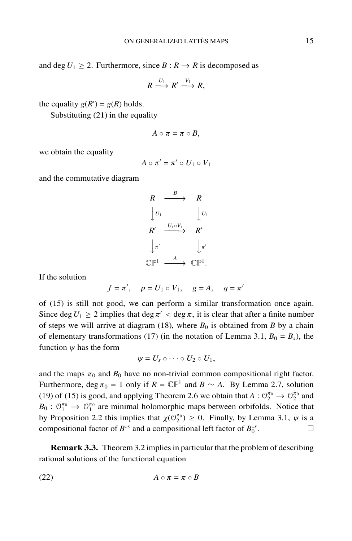and deg  $U_1 \geq 2$ . Furthermore, since  $B: R \to R$  is decomposed as

$$
R \xrightarrow{U_1} R' \xrightarrow{V_1} R,
$$

the equality  $g(R') = g(R)$  holds.

Substituting (21) in the equality

$$
A\circ \pi=\pi\circ B,
$$

we obtain the equality

$$
A\circ\pi'=\pi'\circ U_1\circ V_1
$$

and the commutative diagram

$$
\begin{array}{ccc}\nR & \xrightarrow{B} & R \\
\downarrow U_1 & & \downarrow U_1 \\
R' & \xrightarrow{U_1 \circ V_1} & R' \\
\downarrow \pi' & & \downarrow \pi' \\
\mathbb{C}\mathbb{P}^1 & \xrightarrow{A} & \mathbb{C}\mathbb{P}^1.\n\end{array}
$$

If the solution

$$
f = \pi', \quad p = U_1 \circ V_1, \quad g = A, \quad q = \pi'
$$

of (15) is still not good, we can perform a similar transformation once again. Since deg  $U_1 \geq 2$  implies that deg  $\pi' < \deg \pi$ , it is clear that after a finite number of steps we will arrive at diagram (18), where  $B_0$  is obtained from *B* by a chain of elementary transformations (17) (in the notation of Lemma 3.1,  $B_0 = B_s$ ), the function  $\psi$  has the form

$$
\psi=U_s\circ\cdots\circ U_2\circ U_1,
$$

and the maps  $\pi_0$  and  $B_0$  have no non-trivial common compositional right factor. Furthermore, deg  $\pi_0 = 1$  only if  $R = \mathbb{CP}^1$  and  $B \sim A$ . By Lemma 2.7, solution (19) of (15) is good, and applying Theorem 2.6 we obtain that  $A: \mathcal{O}_2^{\pi_0} \to \mathcal{O}_2^{\pi_0}$  and  $B_0: \mathcal{O}_1^{\pi_0} \to \mathcal{O}_1^{\pi_0}$  are minimal holomorphic maps between orbifolds. Notice that by Proposition 2.2 this implies that  $\chi(\mathcal{O}_2^{\pi_0}) \geq 0$ . Finally, by Lemma 3.1,  $\psi$  is a compositional factor of  $B^{\circ s}$  and a compositional left factor of  $B_0^{\circ s}$ .

**Remark 3.3.** Theorem 3.2 implies in particular that the problem of describing rational solutions of the functional equation

$$
(22) \t\t\t A \circ \pi = \pi \circ B
$$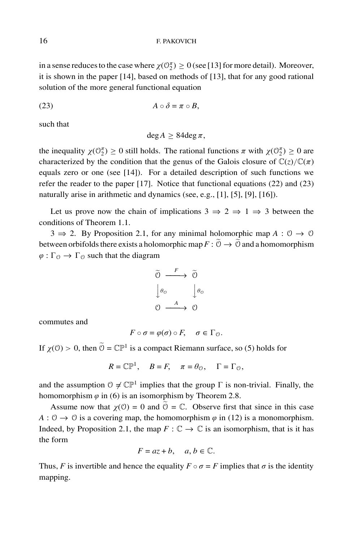in a sense reduces to the case where  $\chi(\mathcal{O}_2^{\pi}) \geq 0$  (see [13] for more detail). Moreover, it is shown in the paper [14], based on methods of [13], that for any good rational solution of the more general functional equation

$$
(23) \t\t\t A \circ \delta = \pi \circ B,
$$

such that

$$
\deg A \geq 84 \deg \pi,
$$

the inequality  $\chi(\mathbb{O}_2^{\pi}) \ge 0$  still holds. The rational functions  $\pi$  with  $\chi(\mathbb{O}_2^{\pi}) \ge 0$  are characterized by the condition that the genus of the Galois closure of  $\mathbb{C}(z)/\mathbb{C}(\pi)$ equals zero or one (see [14]). For a detailed description of such functions we refer the reader to the paper [17]. Notice that functional equations (22) and (23) naturally arise in arithmetic and dynamics (see, e.g., [1], [5], [9], [16]).

Let us prove now the chain of implications  $3 \Rightarrow 2 \Rightarrow 1 \Rightarrow 3$  between the conditions of Theorem 1.1.

 $3 \Rightarrow 2$ . By Proposition 2.1, for any minimal holomorphic map  $A: \mathcal{O} \rightarrow \mathcal{O}$ between orbifolds there exists a holomorphic map  $F: \tilde{\mathbb{O}} \to \tilde{\mathbb{O}}$  and a homomorphism  $\varphi : \Gamma_{\mathcal{O}} \to \Gamma_{\mathcal{O}}$  such that the diagram

$$
\begin{array}{ccc}\n\widetilde{O} & \xrightarrow{F} & \widetilde{O} \\
\downarrow \theta_{\mathcal{O}} & & \downarrow \theta_{\mathcal{O}} \\
\mathcal{O} & \xrightarrow{A} & \mathcal{O}\n\end{array}
$$

commutes and

$$
F\circ\sigma=\varphi(\sigma)\circ F,\quad \sigma\in\Gamma_{\mathcal{O}}.
$$

If  $\chi$ (0) > 0, then  $\tilde{\Theta} = \mathbb{C} \mathbb{P}^1$  is a compact Riemann surface, so (5) holds for

$$
R = \mathbb{CP}^1, \quad B = F, \quad \pi = \theta_{\mathcal{O}}, \quad \Gamma = \Gamma_{\mathcal{O}},
$$

and the assumption  $0 \neq \mathbb{CP}^1$  implies that the group  $\Gamma$  is non-trivial. Finally, the homomorphism  $\varphi$  in (6) is an isomorphism by Theorem 2.8.

Assume now that  $\chi(0) = 0$  and  $\hat{0} = \mathbb{C}$ . Observe first that since in this case  $A: \mathcal{O} \to \mathcal{O}$  is a covering map, the homomorphism  $\varphi$  in (12) is a monomorphism. Indeed, by Proposition 2.1, the map  $F : \mathbb{C} \to \mathbb{C}$  is an isomorphism, that is it has the form

$$
F = az + b, \quad a, b \in \mathbb{C}.
$$

Thus, *F* is invertible and hence the equality  $F \circ \sigma = F$  implies that  $\sigma$  is the identity mapping.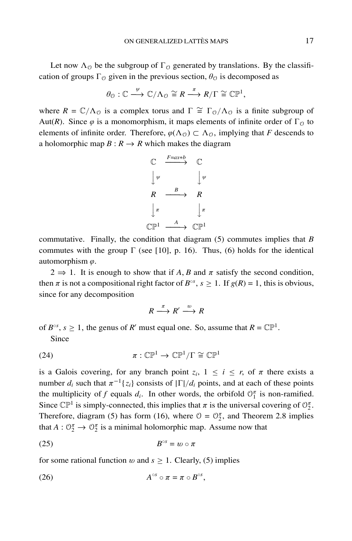Let now  $\Lambda_{\mathcal{O}}$  be the subgroup of  $\Gamma_{\mathcal{O}}$  generated by translations. By the classification of groups  $\Gamma_{\mathcal{O}}$  given in the previous section,  $\theta_{\mathcal{O}}$  is decomposed as

$$
\theta_{\mathcal{O}}:\mathbb{C}\stackrel{\psi}{\longrightarrow}\mathbb{C}/\Lambda_{\mathcal{O}}\cong R\stackrel{\pi}{\longrightarrow} R/\Gamma\cong\mathbb{CP}^1,
$$

where  $R = \mathbb{C}/\Lambda_0$  is a complex torus and  $\Gamma \cong \Gamma_0/\Lambda_0$  is a finite subgroup of Aut(*R*). Since  $\varphi$  is a monomorphism, it maps elements of infinite order of  $\Gamma_{\mathcal{O}}$  to elements of infinite order. Therefore,  $\varphi(\Lambda_{\mathcal{O}}) \subset \Lambda_{\mathcal{O}}$ , implying that *F* descends to a holomorphic map  $B: R \to R$  which makes the diagram

$$
\begin{array}{ccc}\n\mathbb{C} & \xrightarrow{F=ax+b} & \mathbb{C} \\
\downarrow \psi & & \downarrow \psi \\
R & \xrightarrow{B} & R \\
\downarrow \pi & & \downarrow \pi \\
\mathbb{C}\mathbb{P}^1 & \xrightarrow{A} & \mathbb{C}\mathbb{P}^1\n\end{array}
$$

commutative. Finally, the condition that diagram (5) commutes implies that *B* commutes with the group  $\Gamma$  (see [10], p. 16). Thus, (6) holds for the identical automorphism  $\varphi$ .

 $2 \Rightarrow 1$ . It is enough to show that if A, B and  $\pi$  satisfy the second condition, then  $\pi$  is not a compositional right factor of  $B^{\circ s}$ ,  $s \ge 1$ . If  $g(R) = 1$ , this is obvious, since for any decomposition

$$
R \xrightarrow{\pi} R' \xrightarrow{w} R
$$

of  $B^{\circ s}$ ,  $s \ge 1$ , the genus of *R'* must equal one. So, assume that  $R = \mathbb{CP}^1$ .

Since

(24) 
$$
\pi : \mathbb{CP}^1 \to \mathbb{CP}^1/\Gamma \cong \mathbb{CP}^1
$$

is a Galois covering, for any branch point  $z_i$ ,  $1 \le i \le r$ , of  $\pi$  there exists a number  $d_i$  such that  $\pi^{-1}{z_i}$  consists of  $|\Gamma|/d_i$  points, and at each of these points the multiplicity of *f* equals  $d_i$ . In other words, the orbifold  $\mathcal{O}_1^{\pi}$  is non-ramified. Since  $\mathbb{CP}^1$  is simply-connected, this implies that  $\pi$  is the universal covering of  $\mathbb{O}_2^{\pi}$ . Therefore, diagram (5) has form (16), where  $\mathcal{O} = \mathcal{O}_2^{\pi}$ , and Theorem 2.8 implies that  $A: \mathbb{O}_2^{\pi} \to \mathbb{O}_2^{\pi}$  is a minimal holomorphic map. Assume now that

$$
(25) \t\t\t Bos = w \circ \pi
$$

for some rational function w and  $s \geq 1$ . Clearly, (5) implies

$$
(26) \t\t\t Aos \circ \pi = \pi \circ Bos,
$$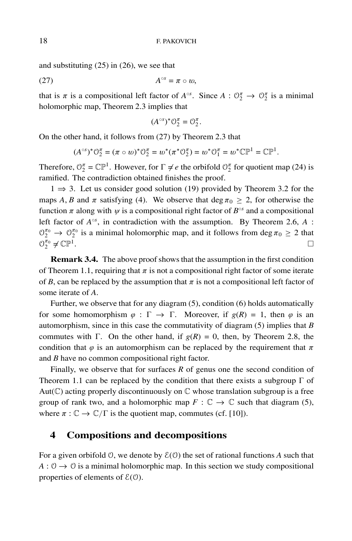and substituting (25) in (26), we see that

$$
A^{\circ s} = \pi \circ w,
$$

that is  $\pi$  is a compositional left factor of  $A^{\circ s}$ . Since  $A: \mathcal{O}_2^{\pi} \to \mathcal{O}_2^{\pi}$  is a minimal holomorphic map, Theorem 2.3 implies that

$$
(A^{\circ s})^* \mathcal{O}_2^{\pi} = \mathcal{O}_2^{\pi}.
$$

On the other hand, it follows from (27) by Theorem 2.3 that

$$
(A^{\circ s})^* \mathcal{O}_2^{\pi} = (\pi \circ w)^* \mathcal{O}_2^{\pi} = w^* (\pi^* \mathcal{O}_2^{\pi}) = w^* \mathcal{O}_1^{\pi} = w^* \mathbb{CP}^1 = \mathbb{CP}^1.
$$

Therefore,  $\mathcal{O}_2^{\pi} = \mathbb{CP}^1$ . However, for  $\Gamma \neq e$  the orbifold  $\mathcal{O}_2^{\pi}$  for quotient map (24) is ramified. The contradiction obtained finishes the proof.

 $1 \Rightarrow 3$ . Let us consider good solution (19) provided by Theorem 3.2 for the maps *A*, *B* and  $\pi$  satisfying (4). We observe that deg  $\pi_0 \geq 2$ , for otherwise the function  $\pi$  along with  $\psi$  is a compositional right factor of  $B^{\circ\circ}$  and a compositional left factor of *A*◦*<sup>s</sup>* , in contradiction with the assumption. By Theorem 2.6, *A* :  $\mathcal{O}_2^{\pi_0} \to \mathcal{O}_2^{\pi_0}$  is a minimal holomorphic map, and it follows from deg  $\pi_0 \geq 2$  that  $\mathcal{O}_2^{\pi_0} \neq \mathbb{C}\mathbb{P}^1$ .  $\frac{\pi_0}{2} \neq \mathbb{C}\mathbb{P}^1$ .

**Remark 3.4.** The above proof shows that the assumption in the first condition of Theorem 1.1, requiring that  $\pi$  is not a compositional right factor of some iterate of *B*, can be replaced by the assumption that  $\pi$  is not a compositional left factor of some iterate of *A*.

Further, we observe that for any diagram (5), condition (6) holds automatically for some homomorphism  $\varphi : \Gamma \to \Gamma$ . Moreover, if  $g(R) = 1$ , then  $\varphi$  is an automorphism, since in this case the commutativity of diagram (5) implies that *B* commutes with  $\Gamma$ . On the other hand, if  $g(R) = 0$ , then, by Theorem 2.8, the condition that  $\varphi$  is an automorphism can be replaced by the requirement that  $\pi$ and *B* have no common compositional right factor.

Finally, we observe that for surfaces *R* of genus one the second condition of Theorem 1.1 can be replaced by the condition that there exists a subgroup  $\Gamma$  of Aut( $\mathbb C$ ) acting properly discontinuously on  $\mathbb C$  whose translation subgroup is a free group of rank two, and a holomorphic map  $F: \mathbb{C} \to \mathbb{C}$  such that diagram (5), where  $\pi : \mathbb{C} \to \mathbb{C}/\Gamma$  is the quotient map, commutes (cf. [10]).

## **4 Compositions and decompositions**

For a given orbifold  $\theta$ , we denote by  $\mathcal{E}(\theta)$  the set of rational functions A such that  $A: \mathcal{O} \to \mathcal{O}$  is a minimal holomorphic map. In this section we study compositional properties of elements of  $E(0)$ .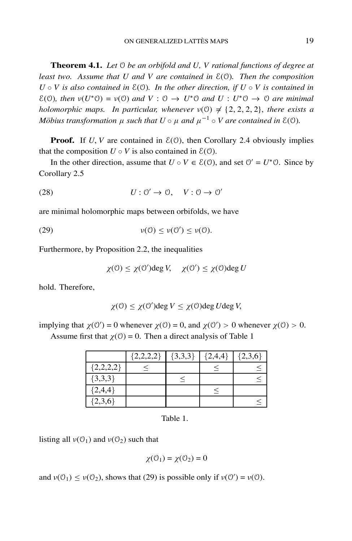**Theorem 4.1.** *Let* O *be an orbifold and U, V rational functions of degree at least two. Assume that U and V are contained in* E(O)*. Then the composition*  $U \circ V$  *is also contained in*  $E(0)$ *. In the other direction, if*  $U \circ V$  *is contained in*  $E(\mathcal{O})$ *, then*  $v(U^*\mathcal{O}) = v(\mathcal{O})$  *and*  $V : \mathcal{O} \to U^*\mathcal{O}$  *and*  $U : U^*\mathcal{O} \to \mathcal{O}$  *are minimal holomorphic maps. In particular, whenever*  $v(0) \neq \{2, 2, 2, 2\}$ , *there exists a M*öbius transformation  $\mu$  such that  $U \circ \mu$  and  $\mu^{-1} \circ V$  are contained in  $\mathcal{E}(\mathcal{O})$ .

**Proof.** If *U*, *V* are contained in  $\mathcal{E}(\mathcal{O})$ , then Corollary 2.4 obviously implies that the composition  $U \circ V$  is also contained in  $E(\theta)$ .

In the other direction, assume that  $U \circ V \in \mathcal{E}(\mathcal{O})$ , and set  $\mathcal{O}' = U^* \mathcal{O}$ . Since by Corollary 2.5

(28) 
$$
U: \mathcal{O}' \to \mathcal{O}, \quad V: \mathcal{O} \to \mathcal{O}'
$$

are minimal holomorphic maps between orbifolds, we have

(29)  $\nu(\mathcal{O}) \leq \nu(\mathcal{O}') \leq \nu(\mathcal{O}).$ 

Furthermore, by Proposition 2.2, the inequalities

 $\chi$ (0)  $\leq \chi$ (0')deg *V*,  $\chi$ (0')  $\leq \chi$ (0)deg *U* 

hold. Therefore,

$$
\chi(0) \le \chi(0') \text{deg } V \le \chi(0) \text{deg } U \text{deg } V,
$$

implying that  $\chi(0') = 0$  whenever  $\chi(0) = 0$ , and  $\chi(0') > 0$  whenever  $\chi(0) > 0$ . Assume first that  $\chi(0) = 0$ . Then a direct analysis of Table 1

|             | ${2,2,2,2}$ | $\{3,3,3\}$ | ${2,4,4}$ | ${2,3,6}$ |
|-------------|-------------|-------------|-----------|-----------|
| ${2,2,2,2}$ |             |             |           |           |
| ${3,3,3}$   |             |             |           |           |
| ${2,4,4}$   |             |             |           |           |
| ${2,3,6}$   |             |             |           |           |

Table 1.

listing all  $v(\mathcal{O}_1)$  and  $v(\mathcal{O}_2)$  such that

$$
\chi(\mathcal{O}_1) = \chi(\mathcal{O}_2) = 0
$$

and  $v(0_1) \le v(0_2)$ , shows that (29) is possible only if  $v(0') = v(0)$ .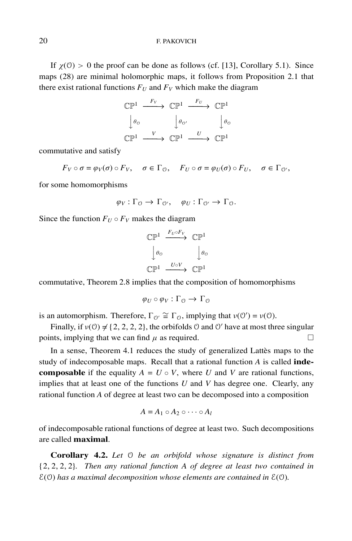#### 20 F. PAKOVICH

If  $\chi$ (0) > 0 the proof can be done as follows (cf. [13], Corollary 5.1). Since maps (28) are minimal holomorphic maps, it follows from Proposition 2.1 that there exist rational functions  $F_U$  and  $F_V$  which make the diagram

$$
\begin{array}{ccc}\n\mathbb{CP}^1 & \xrightarrow{F_V} & \mathbb{CP}^1 & \xrightarrow{F_U} & \mathbb{CP}^1 \\
\downarrow \theta_0 & & \downarrow \theta_0' & & \downarrow \theta_0 \\
\mathbb{CP}^1 & \xrightarrow{V} & \mathbb{CP}^1 & \xrightarrow{U} & \mathbb{CP}^1\n\end{array}
$$

commutative and satisfy

 $F_V \circ \sigma = \varphi_V(\sigma) \circ F_V, \quad \sigma \in \Gamma_\Theta, \quad F_U \circ \sigma = \varphi_U(\sigma) \circ F_U, \quad \sigma \in \Gamma_\Theta,$ 

for some homomorphisms

$$
\varphi_V : \Gamma_{\mathcal{O}} \to \Gamma_{\mathcal{O}'}, \quad \varphi_U : \Gamma_{\mathcal{O}'} \to \Gamma_{\mathcal{O}}.
$$

Since the function  $F_U \circ F_V$  makes the diagram

$$
\begin{array}{ccc}\n\mathbb{CP}^1 & \xrightarrow{F_U \circ F_V} & \mathbb{CP}^1 \\
\downarrow \theta_0 & & \downarrow \theta_0 \\
\mathbb{CP}^1 & \xrightarrow{U \circ V} & \mathbb{CP}^1\n\end{array}
$$

commutative, Theorem 2.8 implies that the composition of homomorphisms

$$
\varphi_U \circ \varphi_V : \Gamma_0 \to \Gamma_0
$$

is an automorphism. Therefore,  $\Gamma_{\mathcal{O}'} \cong \Gamma_{\mathcal{O}}$ , implying that  $v(\mathcal{O}') = v(\mathcal{O})$ .

Finally, if  $v(0) \neq \{2, 2, 2, 2\}$ , the orbifolds 0 and 0' have at most three singular points, implying that we can find  $\mu$  as required.  $\Box$ 

In a sense, Theorem 4.1 reduces the study of generalized Lattès maps to the study of indecomposable maps. Recall that a rational function *A* is called **indecomposable** if the equality  $A = U \circ V$ , where *U* and *V* are rational functions, implies that at least one of the functions *U* and *V* has degree one. Clearly, any rational function *A* of degree at least two can be decomposed into a composition

$$
A = A_1 \circ A_2 \circ \cdots \circ A_l
$$

of indecomposable rational functions of degree at least two. Such decompositions are called **maximal**.

**Corollary 4.2.** *Let* O *be an orbifold whose signature is distinct from* {2, 2, 2, 2}*. Then any rational function A of degree at least two contained in* E(O) *has a maximal decomposition whose elements are contained in* E(O)*.*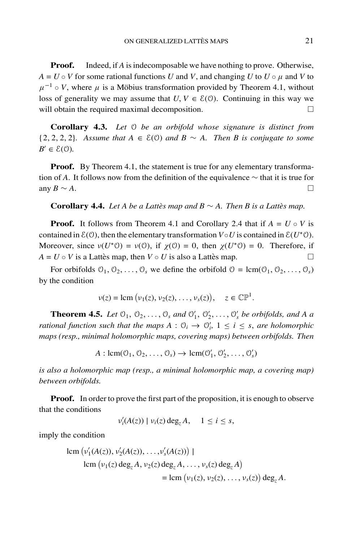**Proof.** Indeed, if *A* is indecomposable we have nothing to prove. Otherwise,  $A = U \circ V$  for some rational functions *U* and *V*, and changing *U* to  $U \circ \mu$  and *V* to  $\mu^{-1} \circ V$ , where  $\mu$  is a Möbius transformation provided by Theorem 4.1, without loss of generality we may assume that  $U, V \in \mathcal{E}(0)$ . Continuing in this way we will obtain the required maximal decomposition.  $\Box$ 

**Corollary 4.3.** *Let* O *be an orbifold whose signature is distinct from* {2, 2, 2, 2}*. Assume that A* ∈ E(O) *and B* ∼ *A. Then B is conjugate to some*  $B' \in \mathcal{E}(\mathcal{O})$ .

**Proof.** By Theorem 4.1, the statement is true for any elementary transformation of *A*. It follows now from the definition of the equivalence ∼ that it is true for any *B* ∼ *A*.  $\Box$ 

#### **Corollary 4.4.** *Let A be a Lattès map and B*  $\sim$  *A. Then B is a Lattès map.*

**Proof.** It follows from Theorem 4.1 and Corollary 2.4 that if  $A = U \circ V$  is contained in  $E(\theta)$ , then the elementary transformation  $V \circ U$  is contained in  $E(U^*\theta)$ . Moreover, since  $v(U^*0) = v(0)$ , if  $\chi(0) = 0$ , then  $\chi(U^*0) = 0$ . Therefore, if  $A = U \circ V$  is a Lattes map, then  $V \circ U$  is also a Lattes map.

For orbifolds  $\mathcal{O}_1, \mathcal{O}_2, \ldots, \mathcal{O}_s$  we define the orbifold  $\mathcal{O} = \text{lcm}(\mathcal{O}_1, \mathcal{O}_2, \ldots, \mathcal{O}_s)$ by the condition

$$
\nu(z) = \text{lcm}(\nu_1(z), \nu_2(z), \ldots, \nu_s(z)), \quad z \in \mathbb{CP}^1.
$$

**Theorem 4.5.** *Let*  $\mathcal{O}_1$ ,  $\mathcal{O}_2$ , ...,  $\mathcal{O}_s$  *and*  $\mathcal{O}'_1$ ,  $\mathcal{O}'_2$ , ...,  $\mathcal{O}'_s$  *be orbifolds, and A a rational function such that the maps*  $A: \mathcal{O}_i \to \mathcal{O}'_i$ ,  $1 \leq i \leq s$ , *are holomorphic maps (resp., minimal holomorphic maps, covering maps) between orbifolds. Then*

$$
A: \text{lcm}(\mathcal{O}_1, \mathcal{O}_2, \ldots, \mathcal{O}_s) \to \text{lcm}(\mathcal{O}'_1, \mathcal{O}'_2, \ldots, \mathcal{O}'_s)
$$

*is also a holomorphic map (resp., a minimal holomorphic map, a covering map) between orbifolds.*

**Proof.** In order to prove the first part of the proposition, it is enough to observe that the conditions

$$
\nu_i'(A(z)) \mid \nu_i(z) \deg_z A, \quad 1 \leq i \leq s,
$$

imply the condition

lcm 
$$
(v'_1(A(z)), v'_2(A(z)),..., v'_s(A(z)))
$$
 |  
\nlcm  $(v_1(z) \deg_z A, v_2(z) \deg_z A, ..., v_s(z) \deg_z A)$   
\n= lcm  $(v_1(z), v_2(z), ..., v_s(z))$  deg<sub>z</sub> A.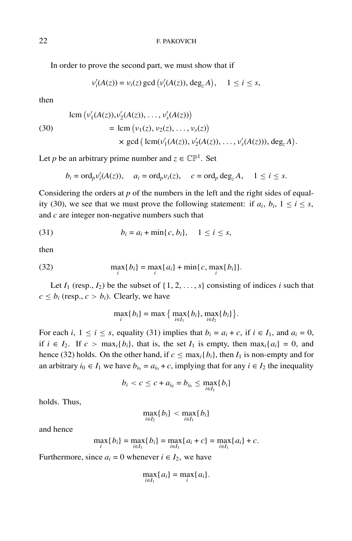In order to prove the second part, we must show that if

$$
\nu'_i(A(z)) = \nu_i(z) \gcd(\nu'_i(A(z)), \deg_z A), \quad 1 \leq i \leq s,
$$

then

(30) 
$$
\begin{aligned} \text{lcm} \left( v_1'(A(z)), v_2'(A(z)), \dots, v_s'(A(z)) \right) \\ &= \text{lcm} \left( v_1(z), v_2(z), \dots, v_s(z) \right) \\ &\times \text{gcd} \left( \text{lcm}(v_1'(A(z)), v_2'(A(z)), \dots, v_s'(A(z))), \text{deg}_z A \right). \end{aligned}
$$

Let *p* be an arbitrary prime number and  $z \in \mathbb{CP}^1$ . Set

$$
b_i = \text{ord}_p v_i'(A(z)), \quad a_i = \text{ord}_p v_i(z), \quad c = \text{ord}_p \deg_z A, \quad 1 \le i \le s.
$$

Considering the orders at *p* of the numbers in the left and the right sides of equality (30), we see that we must prove the following statement: if  $a_i$ ,  $b_i$ ,  $1 \le i \le s$ , and *c* are integer non-negative numbers such that

(31) 
$$
b_i = a_i + \min\{c, b_i\}, \quad 1 \le i \le s,
$$

then

(32) 
$$
\max_{i} \{b_{i}\} = \max_{i} \{a_{i}\} + \min_{i} \{c, \max_{i} \{b_{i}\} \}.
$$

Let  $I_1$  (resp.,  $I_2$ ) be the subset of  $\{1, 2, \ldots, s\}$  consisting of indices *i* such that  $c \leq b_i$  (resp.,  $c > b_i$ ). Clearly, we have

$$
\max_{i} \{b_{i}\} = \max \big\{\max_{i \in I_{1}} \{b_{i}\}, \max_{i \in I_{2}} \{b_{i}\} \big\}.
$$

For each *i*,  $1 \le i \le s$ , equality (31) implies that  $b_i = a_i + c$ , if  $i \in I_1$ , and  $a_i = 0$ , if *i* ∈ *I*<sub>2</sub>. If *c* > max<sub>*i*</sub>{*b<sub>i</sub>*}, that is, the set *I*<sub>1</sub> is empty, then max<sub>*i*</sub>{*a<sub>i</sub>*} = 0, and hence (32) holds. On the other hand, if  $c \le \max_i \{b_i\}$ , then  $I_1$  is non-empty and for an arbitrary  $i_0 \in I_1$  we have  $b_{i_0} = a_{i_0} + c$ , implying that for any  $i \in I_2$  the inequality

$$
b_i < c \leq c + a_{i_0} = b_{i_0} \leq \max_{i \in I_1} \{b_i\}
$$

holds. Thus,

$$
\max_{i\in I_2}\{b_i\} < \max_{i\in I_1}\{b_i\}
$$

and hence

$$
\max_{i} \{b_{i}\} = \max_{i \in I_{1}} \{b_{i}\} = \max_{i \in I_{1}} \{a_{i} + c\} = \max_{i \in I_{1}} \{a_{i}\} + c.
$$

Furthermore, since  $a_i = 0$  whenever  $i \in I_2$ , we have

$$
\max_{i\in I_1}\{a_i\}=\max_i\{a_i\}.
$$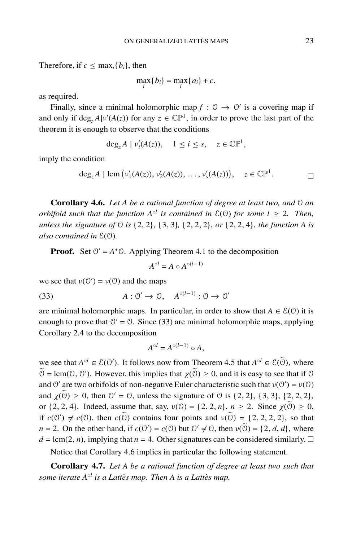Therefore, if  $c \leq \max_i \{b_i\}$ , then

$$
\max_i\{b_i\} = \max_i\{a_i\} + c,
$$

as required.

Finally, since a minimal holomorphic map  $f: \mathcal{O} \to \mathcal{O}'$  is a covering map if and only if  $\text{deg}_z A|v'(A(z))$  for any  $z \in \mathbb{CP}^1$ , in order to prove the last part of the theorem it is enough to observe that the conditions

$$
\deg_z A \mid \nu'_i(A(z)), \quad 1 \leq i \leq s, \quad z \in \mathbb{CP}^1,
$$

imply the condition

$$
\deg_z A \mid \text{lcm} \left( v_1'(A(z)), v_2'(A(z)), \dots, v_s'(A(z)) \right), \quad z \in \mathbb{CP}^1.
$$

**Corollary 4.6.** *Let A be a rational function of degree at least two, and* O *an orbifold such that the function*  $A^{\circ l}$  *is contained in*  $E(0)$  *for some*  $l > 2$ *. Then, unless the signature of* O *is* {2, 2}, {3, 3}*,* {2, 2, 2}, *or* {2, 2, 4}, *the function A is also contained in* E(O)*.*

**Proof.** Set  $0' = A^*0$ . Applying Theorem 4.1 to the decomposition

$$
A^{\circ l} = A \circ A^{\circ (l-1)}
$$

we see that  $v(0') = v(0)$  and the maps

(33)  $A: \mathcal{O}' \to \mathcal{O}, \quad A^{\circ(l-1)}: \mathcal{O} \to \mathcal{O}'$ 

are minimal holomorphic maps. In particular, in order to show that  $A \in \mathcal{E}(\mathcal{O})$  it is enough to prove that  $0' = 0$ . Since (33) are minimal holomorphic maps, applying Corollary 2.4 to the decomposition

$$
A^{\circ l} = A^{\circ (l-1)} \circ A,
$$

we see that  $A^{\circ l} \in \mathcal{E}(\mathbb{O}^{\prime})$ . It follows now from Theorem 4.5 that  $A^{\circ l} \in \mathcal{E}(\mathbb{O})$ , where  $\widetilde{\Theta} = \text{lcm}(\Theta, \Theta')$ . However, this implies that  $\chi(\widetilde{\Theta}) \ge 0$ , and it is easy to see that if  $\Theta$ and  $\mathcal{O}'$  are two orbifolds of non-negative Euler characteristic such that  $v(\mathcal{O}') = v(\mathcal{O})$ and  $\chi(\tilde{\theta}) \ge 0$ , then  $\theta' = \theta$ , unless the signature of  $\theta$  is {2, 2}, {3, 3}, {2, 2, 2}, or  $\{2, 2, 4\}$ . Indeed, assume that, say,  $v(0) = \{2, 2, n\}$ ,  $n \ge 2$ . Since  $\chi(\tilde{0}) \ge 0$ , if  $c(\mathcal{O}') \neq c(\mathcal{O})$ , then  $c(\tilde{\mathcal{O}})$  contains four points and  $v(\tilde{\mathcal{O}}) = \{2, 2, 2, 2\}$ , so that *n* = 2. On the other hand, if  $c(0') = c(0)$  but  $0' \neq 0$ , then  $v(0) = \{2, d, d\}$ , where  $d = \text{lcm}(2, n)$ , implying that  $n = 4$ . Other signatures can be considered similarly.  $\Box$ 

Notice that Corollary 4.6 implies in particular the following statement.

**Corollary 4.7.** *Let A be a rational function of degree at least two such that some iterate*  $A^{\circ l}$  *is a Lattès map. Then A is a Lattès map.*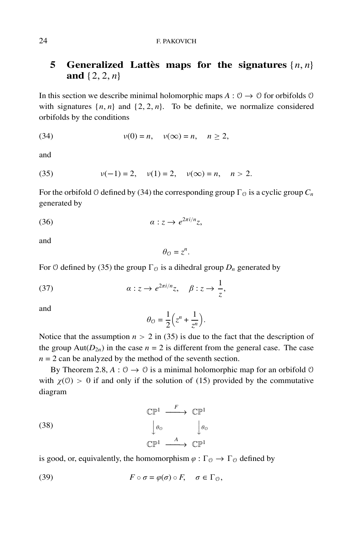#### 24 F. PAKOVICH

## **5** Generalized Lattès maps for the signatures  $\{n, n\}$ **and** {2, 2, *n*}

In this section we describe minimal holomorphic maps  $A: \mathcal{O} \to \mathcal{O}$  for orbifolds  $\mathcal{O}$ with signatures  $\{n, n\}$  and  $\{2, 2, n\}$ . To be definite, we normalize considered orbifolds by the conditions

(34) 
$$
v(0) = n, \quad v(\infty) = n, \quad n \ge 2,
$$

and

(35) 
$$
v(-1) = 2
$$
,  $v(1) = 2$ ,  $v(\infty) = n$ ,  $n > 2$ .

For the orbifold  $\theta$  defined by (34) the corresponding group  $\Gamma_{\theta}$  is a cyclic group  $C_n$ generated by

$$
(36) \t\t\t\t a:z \to e^{2\pi i/n}z,
$$

and

$$
\theta_{\mathcal{O}}=z^n.
$$

For 0 defined by (35) the group  $\Gamma_{\odot}$  is a dihedral group  $D_n$  generated by

(37) 
$$
\alpha: z \to e^{2\pi i/n}z, \quad \beta: z \to \frac{1}{z},
$$

and

$$
\theta_{\mathcal{O}} = \frac{1}{2} \left( z^n + \frac{1}{z^n} \right).
$$

Notice that the assumption  $n > 2$  in (35) is due to the fact that the description of the group  $Aut(D_{2n})$  in the case  $n = 2$  is different from the general case. The case  $n = 2$  can be analyzed by the method of the seventh section.

By Theorem 2.8,  $A: \mathcal{O} \to \mathcal{O}$  is a minimal holomorphic map for an orbifold  $\mathcal{O}$ with  $\chi$ (0) > 0 if and only if the solution of (15) provided by the commutative diagram

(38) 
$$
\begin{array}{ccc}\n\mathbb{CP}^1 & \xrightarrow{F} & \mathbb{CP}^1 \\
\downarrow \theta_0 & & \downarrow \theta_0 \\
\mathbb{CP}^1 & \xrightarrow{A} & \mathbb{CP}^1\n\end{array}
$$

is good, or, equivalently, the homomorphism  $\varphi : \Gamma_{\mathcal{O}} \to \Gamma_{\mathcal{O}}$  defined by

(39) 
$$
F \circ \sigma = \varphi(\sigma) \circ F, \quad \sigma \in \Gamma_0,
$$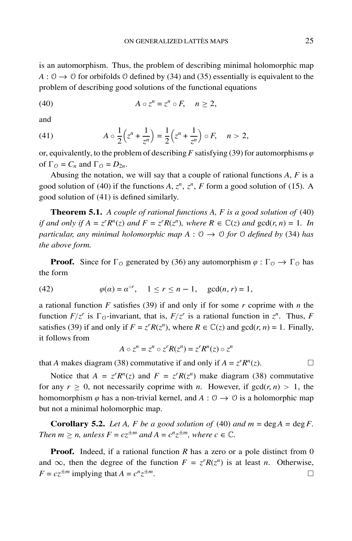is an automorphism. Thus, the problem of describing minimal holomorphic map  $A: \mathcal{O} \to \mathcal{O}$  for orbifolds  $\mathcal{O}$  defined by (34) and (35) essentially is equivalent to the problem of describing good solutions of the functional equations

$$
(40) \t\t\t A\circ z^n = z^n \circ F, \quad n \ge 2,
$$

and

(41) 
$$
A \circ \frac{1}{2} \left( z^n + \frac{1}{z^n} \right) = \frac{1}{2} \left( z^n + \frac{1}{z^n} \right) \circ F, \quad n > 2,
$$

or, equivalently, to the problem of describing *F* satisfying (39) for automorphisms  $\varphi$ of  $\Gamma_{\mathcal{O}} = C_n$  and  $\Gamma_{\mathcal{O}} = D_{2n}$ .

Abusing the notation, we will say that a couple of rational functions *A*, *F* is a good solution of (40) if the functions  $A$ ,  $z^n$ ,  $z^n$ ,  $F$  form a good solution of (15). A good solution of (41) is defined similarly.

**Theorem 5.1.** *A couple of rational functions A, F is a good solution of* (40) *if and only if*  $A = z^r R^n(z)$  *and*  $F = z^r R(z^n)$ *, where*  $R \in \mathbb{C}(z)$  *and*  $gcd(r, n) = 1$ *. In particular, any minimal holomorphic map A* :  $\varnothing \rightarrow \varnothing$  *for*  $\varnothing$  *defined by* (34) *has the above form.*

**Proof.** Since for  $\Gamma_0$  generated by (36) any automorphism  $\varphi : \Gamma_0 \to \Gamma_0$  has the form

(42) 
$$
\varphi(\alpha) = \alpha^{\circ r}, \quad 1 \le r \le n - 1, \quad \gcd(n, r) = 1,
$$

a rational function *F* satisfies (39) if and only if for some *r* coprime with *n* the function  $F/z^r$  is  $\Gamma_{\mathcal{O}}$ -invariant, that is,  $F/z^r$  is a rational function in  $z^n$ . Thus, F satisfies (39) if and only if  $F = z^r R(z^n)$ , where  $R \in \mathbb{C}(z)$  and  $gcd(r, n) = 1$ . Finally, it follows from

$$
A \circ z^n = z^n \circ z^r R(z^n) = z^r R^n(z) \circ z^n
$$

that *A* makes diagram (38) commutative if and only if  $A = z^r R^n(z)$ .

Notice that  $A = z^r R^n(z)$  and  $F = z^r R(z^n)$  make diagram (38) commutative for any  $r \geq 0$ , not necessarily coprime with *n*. However, if  $gcd(r, n) > 1$ , the homomorphism  $\varphi$  has a non-trivial kernel, and  $A: \mathcal{O} \to \mathcal{O}$  is a holomorphic map but not a minimal holomorphic map.

**Corollary 5.2.** *Let A, F be a good solution of* (40) *and*  $m = \deg A = \deg F$ . *Then*  $m > n$ , unless  $F = cz^{\pm m}$  and  $A = c^n z^{\pm m}$ , where  $c \in \mathbb{C}$ .

**Proof.** Indeed, if a rational function *R* has a zero or a pole distinct from 0 and  $\infty$ , then the degree of the function  $F = z^r R(z^n)$  is at least *n*. Otherwise,  $F = cz^{\pm m}$  implying that  $A = c^n z^{\pm m}$ .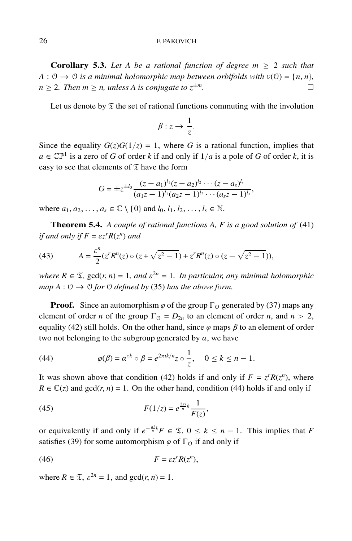#### 26 F. PAKOVICH

**Corollary 5.3.** Let A be a rational function of degree  $m \geq 2$  such that  $A: \mathcal{O} \to \mathcal{O}$  *is a minimal holomorphic map between orbifolds with*  $v(\mathcal{O}) = \{n, n\}$ ,  $n \geq 2$ *. Then m*  $\geq n$ *, unless A is conjugate to*  $z^{\pm m}$ *.* 

Let us denote by  $\mathfrak T$  the set of rational functions commuting with the involution

$$
\beta: z \to \frac{1}{z}.
$$

Since the equality  $G(z)G(1/z) = 1$ , where *G* is a rational function, implies that  $a \in \mathbb{CP}^1$  is a zero of *G* of order *k* if and only if  $1/a$  is a pole of *G* of order *k*, it is easy to see that elements of  $\mathfrak T$  have the form

$$
G = \pm z^{\pm l_0} \frac{(z-a_1)^{l_1}(z-a_2)^{l_2} \cdots (z-a_s)^{l_s}}{(a_1z-1)^{l_1}(a_2z-1)^{l_2} \cdots (a_sz-1)^{l_s}},
$$

where  $a_1, a_2, ..., a_s \in \mathbb{C} \setminus \{0\}$  and  $l_0, l_1, l_2, ..., l_s \in \mathbb{N}$ .

**Theorem 5.4.** *A couple of rational functions A, F is a good solution of* (41) *if and only if*  $F = \varepsilon z^r R(z^n)$  *and* 

(43) 
$$
A = \frac{\varepsilon^n}{2} (z^r R^n(z) \circ (z + \sqrt{z^2 - 1}) + z^r R^n(z) \circ (z - \sqrt{z^2 - 1})),
$$

*where*  $R \in \mathcal{I}$ , gcd $(r, n) = 1$ , and  $\varepsilon^{2n} = 1$ . In particular, any minimal holomorphic *map*  $A: \mathcal{O} \to \mathcal{O}$  *for*  $\mathcal{O}$  *defined by* (35) *has the above form.* 

**Proof.** Since an automorphism  $\varphi$  of the group  $\Gamma_0$  generated by (37) maps any element of order *n* of the group  $\Gamma_0 = D_{2n}$  to an element of order *n*, and  $n > 2$ , equality (42) still holds. On the other hand, since  $\varphi$  maps  $\beta$  to an element of order two not belonging to the subgroup generated by  $\alpha$ , we have

(44) 
$$
\varphi(\beta) = \alpha^{\circ k} \circ \beta = e^{2\pi i k/n} z \circ \frac{1}{z}, \quad 0 \leq k \leq n-1.
$$

It was shown above that condition (42) holds if and only if  $F = z<sup>r</sup>R(z<sup>n</sup>)$ , where  $R \in \mathbb{C}(\zeta)$  and  $gcd(r, n) = 1$ . On the other hand, condition (44) holds if and only if

(45) 
$$
F(1/z) = e^{\frac{2\pi i}{n}k} \frac{1}{F(z)},
$$

or equivalently if and only if  $e^{-\frac{\pi i}{n}k}F \in \mathfrak{T}$ ,  $0 \le k \le n - 1$ . This implies that *F* satisfies (39) for some automorphism  $\varphi$  of  $\Gamma_{\varphi}$  if and only if

$$
(46) \t\t\t F = \varepsilon z^r R(z^n),
$$

where  $R \in \mathfrak{T}$ ,  $\varepsilon^{2n} = 1$ , and  $gcd(r, n) = 1$ .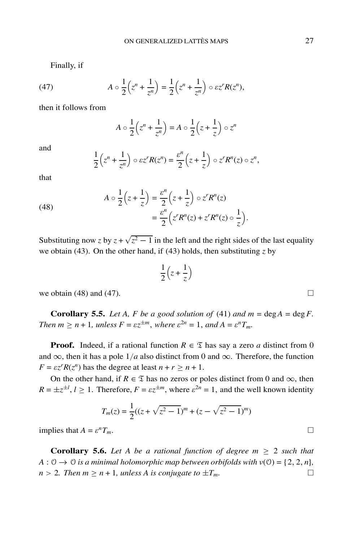Finally, if

(47) 
$$
A \circ \frac{1}{2} \left( z^n + \frac{1}{z^n} \right) = \frac{1}{2} \left( z^n + \frac{1}{z^n} \right) \circ \varepsilon z^r R(z^n),
$$

then it follows from

$$
A \circ \frac{1}{2} \left( z^n + \frac{1}{z^n} \right) = A \circ \frac{1}{2} \left( z + \frac{1}{z} \right) \circ z^n
$$

and

$$
\frac{1}{2}\left(z^n+\frac{1}{z^n}\right)\circ\epsilon z^rR(z^n)=\frac{\epsilon^n}{2}\left(z+\frac{1}{z}\right)\circ z^rR^n(z)\circ z^n,
$$

that

(48)  

$$
A \circ \frac{1}{2} \left( z + \frac{1}{z} \right) = \frac{\varepsilon^n}{2} \left( z + \frac{1}{z} \right) \circ z^r R^n(z)
$$

$$
= \frac{\varepsilon^n}{2} \left( z^r R^n(z) + z^r R^n(z) \circ \frac{1}{z} \right).
$$

Substituting now *z* by  $z + \sqrt{z^2 - 1}$  in the left and the right sides of the last equality we obtain (43). On the other hand, if (43) holds, then substituting  $\zeta$  by

$$
\frac{1}{2}\left(z+\frac{1}{z}\right)
$$

we obtain  $(48)$  and  $(47)$ .

**Corollary 5.5.** *Let A, F be a good solution of* (41) *and*  $m = \text{deg} A = \text{deg} F$ . *Then*  $m \ge n + 1$ *, unless*  $F = \varepsilon z^{\pm m}$ *, where*  $\varepsilon^{2n} = 1$ *, and*  $A = \varepsilon^n T_m$ *.* 

**Proof.** Indeed, if a rational function  $R \in \mathcal{I}$  has say a zero *a* distinct from 0 and  $\infty$ , then it has a pole 1/*a* also distinct from 0 and  $\infty$ . Therefore, the function  $F = \varepsilon z^r R(z^n)$  has the degree at least  $n + r \geq n + 1$ .

On the other hand, if  $R \in \mathfrak{T}$  has no zeros or poles distinct from 0 and  $\infty$ , then  $R = \pm z^{\pm l}$ ,  $l \ge 1$ . Therefore,  $F = \varepsilon z^{\pm m}$ , where  $\varepsilon^{2n} = 1$ , and the well known identity

$$
T_m(z) = \frac{1}{2}((z + \sqrt{z^2 - 1})^m + (z - \sqrt{z^2 - 1})^m)
$$

implies that  $A = \varepsilon^n T_m$ .

**Corollary 5.6.** Let A be a rational function of degree  $m \geq 2$  such that  $A: \mathcal{O} \to \mathcal{O}$  *is a minimal holomorphic map between orbifolds with*  $v(\mathcal{O}) = \{2, 2, n\}$ ,  $n > 2$ *. Then*  $m \geq n + 1$ *, unless A is conjugate to*  $\pm T_m$ .

$$
\frac{1}{2}\left(z+\frac{1}{z}\right)
$$

$$
\Box
$$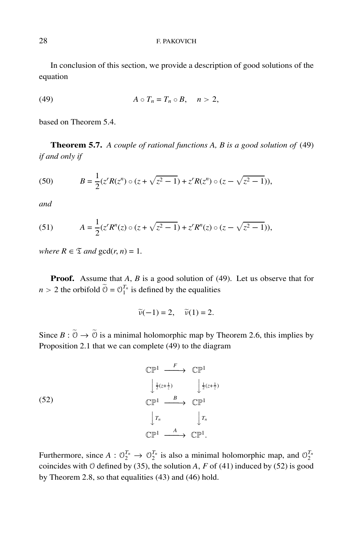In conclusion of this section, we provide a description of good solutions of the equation

$$
(49) \t\t\t A \circ T_n = T_n \circ B, \quad n > 2,
$$

based on Theorem 5.4.

**Theorem 5.7.** *A couple of rational functions A, B is a good solution of* (49) *if and only if*

(50) 
$$
B = \frac{1}{2} (z^r R(z^n) \circ (z + \sqrt{z^2 - 1}) + z^r R(z^n) \circ (z - \sqrt{z^2 - 1})),
$$

*and*

(51) 
$$
A = \frac{1}{2} (z^r R^n(z) \circ (z + \sqrt{z^2 - 1}) + z^r R^n(z) \circ (z - \sqrt{z^2 - 1})),
$$

*where*  $R \in \mathcal{I}$  *and*  $gcd(r, n) = 1$ *.* 

**Proof.** Assume that *A*, *B* is a good solution of (49). Let us observe that for  $n > 2$  the orbifold  $\widetilde{O} = O_1^{T_n}$  is defined by the equalities

$$
\widetilde{\nu}(-1) = 2, \quad \widetilde{\nu}(1) = 2.
$$

Since  $B : \tilde{\mathcal{O}} \to \tilde{\mathcal{O}}$  is a minimal holomorphic map by Theorem 2.6, this implies by Proposition 2.1 that we can complete (49) to the diagram

(52)  
\n
$$
\begin{array}{ccc}\n\mathbb{CP}^1 & \xrightarrow{F} & \mathbb{CP}^1 \\
\downarrow \frac{1}{2}(z + \frac{1}{z}) & \downarrow \frac{1}{2}(z + \frac{1}{z}) \\
\mathbb{CP}^1 & \xrightarrow{B} & \mathbb{CP}^1 \\
\downarrow r_n & \downarrow r_n \\
\mathbb{CP}^1 & \xrightarrow{A} & \mathbb{CP}^1.\n\end{array}
$$

Furthermore, since  $A: \mathcal{O}_2^{T_n} \to \mathcal{O}_2^{T_n}$  is also a minimal holomorphic map, and  $\mathcal{O}_2^{T_n}$ coincides with  $\theta$  defined by (35), the solution *A*, *F* of (41) induced by (52) is good by Theorem 2.8, so that equalities (43) and (46) hold.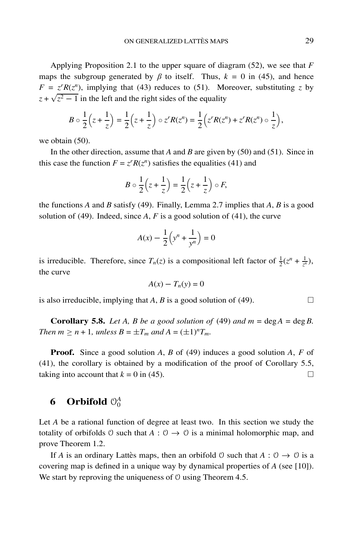Applying Proposition 2.1 to the upper square of diagram (52), we see that *F* maps the subgroup generated by  $\beta$  to itself. Thus,  $k = 0$  in (45), and hence  $F = z^r R(z^n)$ , implying that (43) reduces to (51). Moreover, substituting *z* by  $z + \sqrt{z^2 - 1}$  in the left and the right sides of the equality

$$
B \circ \frac{1}{2} \left( z + \frac{1}{z} \right) = \frac{1}{2} \left( z + \frac{1}{z} \right) \circ z^r R(z^n) = \frac{1}{2} \left( z^r R(z^n) + z^r R(z^n) \circ \frac{1}{z} \right),
$$

we obtain  $(50)$ .

In the other direction, assume that *A* and *B* are given by (50) and (51). Since in this case the function  $F = z^r R(z^n)$  satisfies the equalities (41) and

$$
B \circ \frac{1}{2} \left( z + \frac{1}{z} \right) = \frac{1}{2} \left( z + \frac{1}{z} \right) \circ F,
$$

the functions *A* and *B* satisfy (49). Finally, Lemma 2.7 implies that *A*, *B* is a good solution of (49). Indeed, since  $A$ ,  $F$  is a good solution of (41), the curve

$$
A(x) - \frac{1}{2} \left( y^n + \frac{1}{y^n} \right) = 0
$$

is irreducible. Therefore, since  $T_n(z)$  is a compositional left factor of  $\frac{1}{2}(z^n + \frac{1}{z^n})$ , the curve

$$
A(x) - T_n(y) = 0
$$

is also irreducible, implying that *A*, *B* is a good solution of (49).  $\Box$ 

**Corollary 5.8.** *Let A, B be a good solution of* (49) *and*  $m = \text{deg} A = \text{deg} B$ . *Then*  $m \ge n + 1$ *, unless*  $B = \pm T_m$  *and*  $A = (\pm 1)^n T_m$ *.* 

**Proof.** Since a good solution *A*, *B* of (49) induces a good solution *A*, *F* of (41), the corollary is obtained by a modification of the proof of Corollary 5.5, taking into account that  $k = 0$  in (45).

# **6** Orbifold  $\mathcal{O}_0^A$

Let *A* be a rational function of degree at least two. In this section we study the totality of orbifolds  $\theta$  such that  $A : \theta \rightarrow \theta$  is a minimal holomorphic map, and prove Theorem 1.2.

If *A* is an ordinary Lattes maps, then an orbifold  $\theta$  such that  $A : \theta \rightarrow \theta$  is a covering map is defined in a unique way by dynamical properties of *A* (see [10]). We start by reproving the uniqueness of  $\theta$  using Theorem 4.5.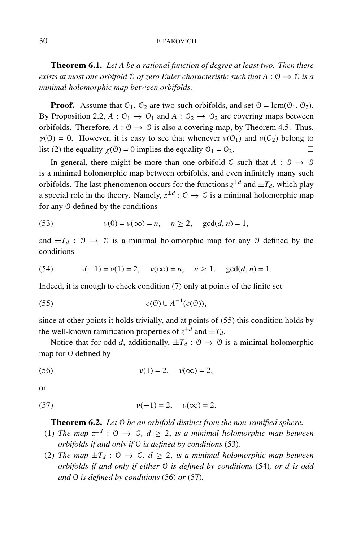#### 30 F. PAKOVICH

**Theorem 6.1.** *Let A be a rational function of degree at least two. Then there exists at most one orbifold*  $\theta$  *of zero Euler characteristic such that*  $A : \theta \rightarrow \theta$  *is a minimal holomorphic map between orbifolds.*

**Proof.** Assume that  $\mathcal{O}_1$ ,  $\mathcal{O}_2$  are two such orbifolds, and set  $\mathcal{O} = \text{lcm}(\mathcal{O}_1, \mathcal{O}_2)$ . By Proposition 2.2,  $A: \mathcal{O}_1 \to \mathcal{O}_1$  and  $A: \mathcal{O}_2 \to \mathcal{O}_2$  are covering maps between orbifolds. Therefore,  $A: \mathcal{O} \to \mathcal{O}$  is also a covering map, by Theorem 4.5. Thus,  $\chi(\mathcal{O}) = 0$ . However, it is easy to see that whenever  $\nu(\mathcal{O}_1)$  and  $\nu(\mathcal{O}_2)$  belong to list (2) the equality  $\chi$ (0) = 0 implies the equality  $\mathcal{O}_1 = \mathcal{O}_2$ .

In general, there might be more than one orbifold  $\theta$  such that  $A : \theta \rightarrow \theta$ is a minimal holomorphic map between orbifolds, and even infinitely many such orbifolds. The last phenomenon occurs for the functions  $z^{\pm d}$  and  $\pm T_d$ , which play a special role in the theory. Namely,  $z^{\pm d}$  :  $\theta \rightarrow \theta$  is a minimal holomorphic map for any O defined by the conditions

(53) 
$$
v(0) = v(\infty) = n, \quad n \ge 2, \quad \gcd(d, n) = 1,
$$

and  $\pm T_d$  :  $\theta \rightarrow \theta$  is a minimal holomorphic map for any  $\theta$  defined by the conditions

(54) 
$$
v(-1) = v(1) = 2
$$
,  $v(\infty) = n$ ,  $n \ge 1$ ,  $gcd(d, n) = 1$ .

Indeed, it is enough to check condition (7) only at points of the finite set

$$
(55) \t\t c(0) \cup A^{-1}(c(0)),
$$

since at other points it holds trivially, and at points of (55) this condition holds by the well-known ramification properties of  $z^{\pm d}$  and  $\pm T_d$ .

Notice that for odd *d*, additionally,  $\pm T_d$ :  $\theta \rightarrow \theta$  is a minimal holomorphic map for O defined by

(56) 
$$
v(1) = 2, v(\infty) = 2,
$$

or

(57) 
$$
v(-1) = 2, v(\infty) = 2.
$$

**Theorem 6.2.** *Let* O *be an orbifold distinct from the non-ramified sphere.*

- (1) *The map*  $z^{\pm d}$  :  $\theta \rightarrow \theta$ ,  $d \geq 2$ , *is a minimal holomorphic map between orbifolds if and only if* O *is defined by conditions* (53)*.*
- (2) *The map*  $\pm T_d$  :  $\theta \rightarrow \theta$ ,  $d \geq 2$ , *is a minimal holomorphic map between orbifolds if and only if either* O *is defined by conditions* (54)*, or d is odd and* O *is defined by conditions* (56) *or* (57)*.*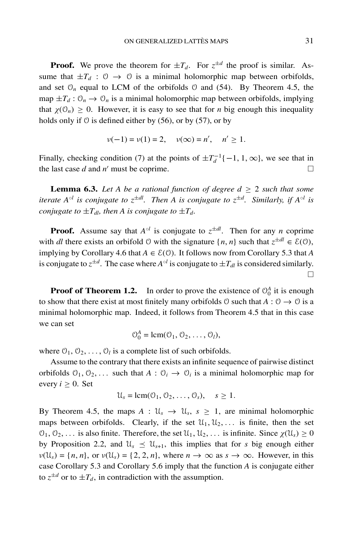**Proof.** We prove the theorem for  $\pm T_d$ . For  $z^{\pm d}$  the proof is similar. Assume that  $\pm T_d$  :  $\theta \rightarrow \theta$  is a minimal holomorphic map between orbifolds, and set  $\mathcal{O}_n$  equal to LCM of the orbifolds  $\mathcal O$  and (54). By Theorem 4.5, the map  $\pm T_d$ :  $\mathcal{O}_n \to \mathcal{O}_n$  is a minimal holomorphic map between orbifolds, implying that  $\chi(\mathcal{O}_n) \geq 0$ . However, it is easy to see that for *n* big enough this inequality holds only if  $\theta$  is defined either by (56), or by (57), or by

$$
\nu(-1) = \nu(1) = 2
$$
,  $\nu(\infty) = n'$ ,  $n' \ge 1$ .

Finally, checking condition (7) at the points of  $\pm T_d^{-1}\{-1, 1, \infty\}$ , we see that in the last case *d* and *n'* must be coprime.  $\Box$ 

**Lemma 6.3.** Let A be a rational function of degree  $d \geq 2$  such that some *iterate*  $A^{\circ l}$  *is conjugate to*  $z^{\pm dl}$ *. Then A is conjugate to*  $z^{\pm d}$ *. Similarly, if*  $A^{\circ l}$  *is conjugate to*  $\pm T_{d}$ *, then A is conjugate to*  $\pm T_d$ *.* 

**Proof.** Assume say that  $A^{\circ l}$  is conjugate to  $z^{\pm dl}$ . Then for any *n* coprime with *dl* there exists an orbifold  $\theta$  with the signature  $\{n, n\}$  such that  $z^{\pm dl} \in \mathcal{E}(\theta)$ , implying by Corollary 4.6 that  $A \in \mathcal{E}(\mathcal{O})$ . It follows now from Corollary 5.3 that A is conjugate to  $z^{\pm d}$ . The case where  $A^{\circ l}$  is conjugate to  $\pm T_{dl}$  is considered similarly.  $\Box$ 

**Proof of Theorem 1.2.** In order to prove the existence of  $\mathcal{O}_0^A$  it is enough to show that there exist at most finitely many orbifolds  $\theta$  such that  $A : \theta \to \theta$  is a minimal holomorphic map. Indeed, it follows from Theorem 4.5 that in this case we can set

$$
\mathcal{O}_0^A = \text{lcm}(\mathcal{O}_1, \mathcal{O}_2, \ldots, \mathcal{O}_l),
$$

where  $0_1$ ,  $0_2$ , ...,  $0_l$  is a complete list of such orbifolds.

Assume to the contrary that there exists an infinite sequence of pairwise distinct orbifolds  $\mathcal{O}_1, \mathcal{O}_2, \ldots$  such that  $A : \mathcal{O}_i \to \mathcal{O}_i$  is a minimal holomorphic map for every  $i \geq 0$ . Set

$$
\mathcal{U}_s = \text{lcm}(\mathcal{O}_1, \mathcal{O}_2, \dots, \mathcal{O}_s), \quad s \geq 1.
$$

By Theorem 4.5, the maps  $A : \mathcal{U}_s \to \mathcal{U}_s$ ,  $s \geq 1$ , are minimal holomorphic maps between orbifolds. Clearly, if the set  $\mathcal{U}_1, \mathcal{U}_2, \ldots$  is finite, then the set  $\mathcal{O}_1, \mathcal{O}_2, \ldots$  is also finite. Therefore, the set  $\mathcal{U}_1, \mathcal{U}_2, \ldots$  is infinite. Since  $\chi(\mathcal{U}_s) \geq 0$ by Proposition 2.2, and  $\mathcal{U}_s \preceq \mathcal{U}_{s+1}$ , this implies that for *s* big enough either  $\nu(\mathcal{U}_s) = \{n, n\}$ , or  $\nu(\mathcal{U}_s) = \{2, 2, n\}$ , where  $n \to \infty$  as  $s \to \infty$ . However, in this case Corollary 5.3 and Corollary 5.6 imply that the function *A* is conjugate either to  $z^{\pm d}$  or to  $\pm T_d$ , in contradiction with the assumption.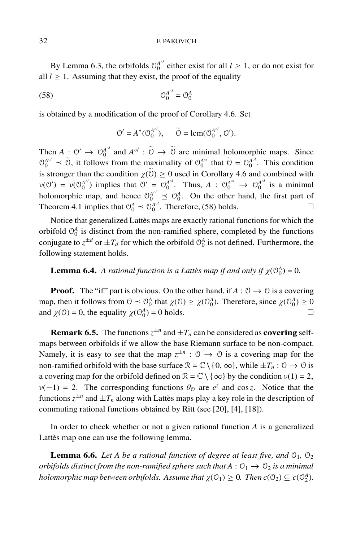#### 32 F. PAKOVICH

By Lemma 6.3, the orbifolds  $\Theta_0^{A^{\circ l}}$  either exist for all  $l \geq 1$ , or do not exist for all  $l \geq 1$ . Assuming that they exist, the proof of the equality

(58) O*A*◦*<sup>l</sup>* <sup>0</sup> = O*<sup>A</sup>* 0

is obtained by a modification of the proof of Corollary 4.6. Set

$$
\mathcal{O}' = A^*(\mathcal{O}_0^{A^{\circ l}}), \qquad \widetilde{\mathcal{O}} = \text{lcm}(\mathcal{O}_0^{A^{\circ l}}, \mathcal{O}').
$$

Then  $A: \mathcal{O}' \to \mathcal{O}_0^{A^{\circ l}}$  and  $A^{\circ l} : \widetilde{\mathcal{O}} \to \widetilde{\mathcal{O}}$  are minimal holomorphic maps. Since  $\mathcal{O}_0^{A^{\circ l}} \preceq \tilde{\mathcal{O}}$ , it follows from the maximality of  $\mathcal{O}_0^{A^{\circ l}}$  that  $\tilde{\mathcal{O}} = \mathcal{O}_0^{A^{\circ l}}$ . This condition is stronger than the condition  $\chi(\tilde{0}) \ge 0$  used in Corollary 4.6 and combined with  $\nu(\mathcal{O}') = \nu(\mathcal{O}_0^{A^{\circ l}})$  implies that  $\mathcal{O}' = \mathcal{O}_0^{A^{\circ l}}$ . Thus,  $A : \mathcal{O}_0^{A^{\circ l}} \to \mathcal{O}_0^{A^{\circ l}}$  is a minimal holomorphic map, and hence  $\mathcal{O}_0^{A^{\circ l}} \preceq \mathcal{O}_0^A$ . On the other hand, the first part of Theorem 4.1 implies that  $\mathcal{O}_0^A \preceq \mathcal{O}_0^{A^{\circ l}}$ . Therefore, (58) holds.

Notice that generalized Lattès maps are exactly rational functions for which the orbifold  $\mathcal{O}_0^A$  is distinct from the non-ramified sphere, completed by the functions conjugate to  $z^{\pm d}$  or  $\pm T_d$  for which the orbifold  $\mathcal{O}_0^A$  is not defined. Furthermore, the following statement holds.

**Lemma 6.4.** *A rational function is a Lattès map if and only if*  $\chi(\mathcal{O}_0^A) = 0$ *.* 

**Proof.** The "if" part is obvious. On the other hand, if  $A: \mathcal{O} \to \mathcal{O}$  is a covering map, then it follows from  $0 \leq O_0^A$  that  $\chi(0) \geq \chi(0_0^A)$ . Therefore, since  $\chi(0_0^A) \geq 0$ and  $\chi$ (0) = 0, the equality  $\chi$ (0 $^{A}_{0}$ ) = 0 holds.  $\Box$ 

**Remark 6.5.** The functions  $z^{\pm n}$  and  $\pm T_n$  can be considered as **covering** selfmaps between orbifolds if we allow the base Riemann surface to be non-compact. Namely, it is easy to see that the map  $z^{\pm n}$  :  $\theta \to \theta$  is a covering map for the non-ramified orbifold with the base surface  $\mathcal{R} = \mathbb{C} \setminus \{0, \infty\}$ , while  $\pm T_n : \mathcal{O} \to \mathcal{O}$  is a covering map for the orbifold defined on  $\mathcal{R} = \mathbb{C} \setminus \{ \infty \}$  by the condition  $v(1) = 2$ ,  $\nu(-1) = 2$ . The corresponding functions  $\theta_0$  are  $e^z$  and cos *z*. Notice that the functions  $z^{\pm n}$  and  $\pm T_n$  along with Lattes maps play a key role in the description of commuting rational functions obtained by Ritt (see [20], [4], [18]).

In order to check whether or not a given rational function *A* is a generalized Lattès map one can use the following lemma.

**Lemma 6.6.** *Let A be a rational function of degree at least five, and*  $\mathcal{O}_1$ ,  $\mathcal{O}_2$ *orbifolds distinct from the non-ramified sphere such that*  $A: \mathcal{O}_1 \rightarrow \mathcal{O}_2$  *is a minimal holomorphic map between orbifolds. Assume that*  $\chi(\mathcal{O}_1) \geq 0$ *. Then*  $c(\mathcal{O}_2) \subseteq c(\mathcal{O}_2^A)$ *.*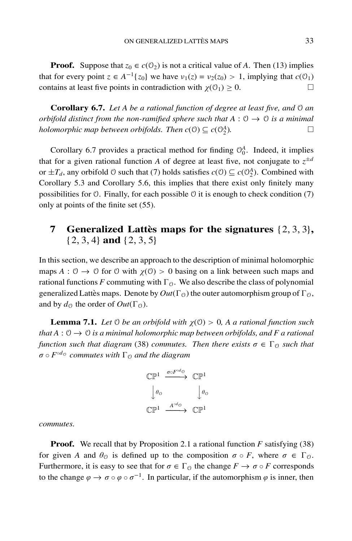**Proof.** Suppose that  $z_0 \in c(\mathbb{O}_2)$  is not a critical value of *A*. Then (13) implies that for every point  $z \in A^{-1}{z_0}$  we have  $v_1(z) = v_2(z_0) > 1$ , implying that  $c(0_1)$ contains at least five points in contradiction with  $\chi(\mathcal{O}_1) \geq 0$ .

**Corollary 6.7.** *Let A be a rational function of degree at least five, and* O *an orbifold distinct from the non-ramified sphere such that*  $A: \mathcal{O} \rightarrow \mathcal{O}$  *is a minimal holomorphic map between orbifolds. Then*  $c(\mathcal{O}) \subseteq c(\mathcal{O}_2^A)$ .  $\binom{A}{2}$ .

Corollary 6.7 provides a practical method for finding  $\mathcal{O}_0^A$ . Indeed, it implies that for a given rational function *A* of degree at least five, not conjugate to  $z^{\pm d}$ or  $\pm T_d$ , any orbifold  $\theta$  such that (7) holds satisfies  $c(\theta) \subseteq c(\theta_2^A)$ . Combined with Corollary 5.3 and Corollary 5.6, this implies that there exist only finitely many possibilities for  $\theta$ . Finally, for each possible  $\theta$  it is enough to check condition (7) only at points of the finite set (55).

## **7** Generalized Lattès maps for the signatures  $\{2, 3, 3\}$ , {2, 3, 4} **and** {2, 3, 5}

In this section, we describe an approach to the description of minimal holomorphic maps  $A: \mathcal{O} \to \mathcal{O}$  for  $\mathcal{O}$  with  $\chi(\mathcal{O}) > 0$  basing on a link between such maps and rational functions *F* commuting with  $\Gamma_{\mathcal{O}}$ . We also describe the class of polynomial generalized Lattes maps. Denote by  $Out(\Gamma_{\mathcal{O}})$  the outer automorphism group of  $\Gamma_{\mathcal{O}}$ , and by  $d_{\mathcal{O}}$  the order of  $Out(\Gamma_{\mathcal{O}})$ .

**Lemma 7.1.** *Let*  $\emptyset$  *be an orbifold with*  $\chi(\emptyset) > 0$ , *A a rational function such that*  $A: \mathcal{O} \to \mathcal{O}$  *is a minimal holomorphic map between orbifolds, and* F a rational *function such that diagram* (38) *commutes. Then there exists*  $\sigma \in \Gamma_0$  *such that*  $\sigma \circ F^{\circ d} \circ$  *commutes with*  $\Gamma_0$  *and the diagram* 

$$
\begin{array}{ccc}\n\mathbb{CP}^1 & \xrightarrow{\sigma \circ F^{\circ d} \circ} & \mathbb{CP}^1 \\
\downarrow \theta \circ & & \downarrow \theta \circ \\
\mathbb{CP}^1 & \xrightarrow{A^{\circ d} \circ} & \mathbb{CP}^1\n\end{array}
$$

*commutes.*

**Proof.** We recall that by Proposition 2.1 a rational function *F* satisfying (38) for given *A* and  $\theta_{\mathcal{O}}$  is defined up to the composition  $\sigma \circ F$ , where  $\sigma \in \Gamma_{\mathcal{O}}$ . Furthermore, it is easy to see that for  $\sigma \in \Gamma_{\mathcal{O}}$  the change  $F \to \sigma \circ F$  corresponds to the change  $\varphi \to \sigma \circ \varphi \circ \sigma^{-1}$ . In particular, if the automorphism  $\varphi$  is inner, then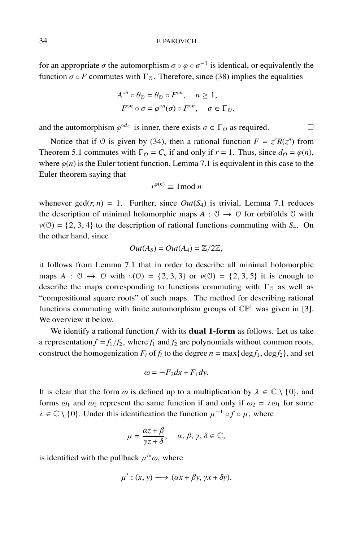for an appropriate  $\sigma$  the automorphism  $\sigma \circ \varphi \circ \sigma^{-1}$  is identical, or equivalently the function  $\sigma \circ F$  commutes with  $\Gamma_{\mathcal{O}}$ . Therefore, since (38) implies the equalities

$$
A^{\circ n} \circ \theta_{\mathcal{O}} = \theta_{\mathcal{O}} \circ F^{\circ n}, \quad n \ge 1,
$$
  

$$
F^{\circ n} \circ \sigma = \varphi^{\circ n}(\sigma) \circ F^{\circ n}, \quad \sigma \in \Gamma_{\mathcal{O}},
$$

and the automorphism  $\varphi^{od}$  is inner, there exists  $\sigma \in \Gamma_0$  as required.  $\Box$ 

Notice that if 0 is given by (34), then a rational function  $F = z^r R(z^n)$  from Theorem 5.1 commutes with  $\Gamma_{\Omega} = C_n$  if and only if  $r = 1$ . Thus, since  $d_{\Omega} = \varphi(n)$ , where  $\varphi(n)$  is the Euler totient function, Lemma 7.1 is equivalent in this case to the Euler theorem saying that

$$
r^{\varphi(n)} \equiv 1 \bmod n
$$

whenever  $gcd(r, n) = 1$ . Further, since  $Out(S_4)$  is trivial, Lemma 7.1 reduces the description of minimal holomorphic maps  $A: \mathcal{O} \to \mathcal{O}$  for orbifolds  $\mathcal{O}$  with  $v(0) = \{2, 3, 4\}$  to the description of rational functions commuting with  $S_4$ . On the other hand, since

$$
Out(A_5) = Out(A_4) = \mathbb{Z}/2\mathbb{Z},
$$

it follows from Lemma 7.1 that in order to describe all minimal holomorphic maps  $A : \mathcal{O} \to \mathcal{O}$  with  $v(\mathcal{O}) = \{2, 3, 3\}$  or  $v(\mathcal{O}) = \{2, 3, 5\}$  it is enough to describe the maps corresponding to functions commuting with  $\Gamma_{\Omega}$  as well as "compositional square roots" of such maps. The method for describing rational functions commuting with finite automorphism groups of  $\mathbb{CP}^1$  was given in [3]. We overview it below.

We identify a rational function  $f$  with its **dual 1-form** as follows. Let us take a representation  $f = f_1/f_2$ , where  $f_1$  and  $f_2$  are polynomials without common roots, construct the homogenization  $F_i$  of  $f_i$  to the degree  $n = \max\{\text{deg }f_1, \text{deg }f_2\}$ , and set

$$
\omega = -F_2 dx + F_1 dy.
$$

It is clear that the form  $\omega$  is defined up to a multiplication by  $\lambda \in \mathbb{C} \setminus \{0\}$ , and forms  $\omega_1$  and  $\omega_2$  represent the same function if and only if  $\omega_2 = \lambda \omega_1$  for some  $\lambda \in \mathbb{C} \setminus \{0\}$ . Under this identification the function  $\mu^{-1} \circ f \circ \mu$ , where

$$
\mu = \frac{\alpha z + \beta}{\gamma z + \delta}, \quad \alpha, \beta, \gamma, \delta \in \mathbb{C},
$$

is identified with the pullback  $\mu^{\prime*}\omega$ , where

$$
\mu': (x, y) \longrightarrow (\alpha x + \beta y, \gamma x + \delta y).
$$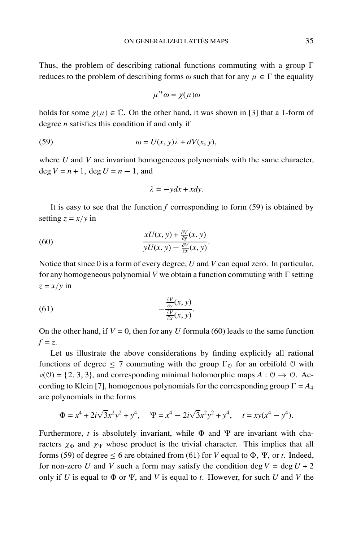Thus, the problem of describing rational functions commuting with a group  $\Gamma$ reduces to the problem of describing forms  $\omega$  such that for any  $\mu \in \Gamma$  the equality

$$
\mu'^*\omega = \chi(\mu)\omega
$$

holds for some  $\chi(\mu) \in \mathbb{C}$ . On the other hand, it was shown in [3] that a 1-form of degree *n* satisfies this condition if and only if

(59) 
$$
\omega = U(x, y)\lambda + dV(x, y),
$$

where *U* and *V* are invariant homogeneous polynomials with the same character,  $\deg V = n + 1$ ,  $\deg U = n - 1$ , and

$$
\lambda = -ydx + xdy.
$$

It is easy to see that the function  $f$  corresponding to form  $(59)$  is obtained by setting  $z = x/y$  in

(60) 
$$
\frac{xU(x, y) + \frac{\partial V}{\partial y}(x, y)}{yU(x, y) - \frac{\partial V}{\partial x}(x, y)}.
$$

Notice that since 0 is a form of every degree, *U* and *V* can equal zero. In particular, for any homogeneous polynomial *V* we obtain a function commuting with  $\Gamma$  setting  $z = x/y$  in

(61) 
$$
-\frac{\frac{\partial V}{\partial y}(x, y)}{\frac{\partial V}{\partial x}(x, y)}.
$$

On the other hand, if  $V = 0$ , then for any *U* formula (60) leads to the same function  $f = z$ .

Let us illustrate the above considerations by finding explicitly all rational functions of degree  $\leq 7$  commuting with the group  $\Gamma_{\mathcal{O}}$  for an orbifold  $\mathcal{O}$  with  $v(0) = \{2, 3, 3\}$ , and corresponding minimal holomorphic maps  $A: 0 \rightarrow 0$ . According to Klein [7], homogenous polynomials for the corresponding group  $\Gamma = A_4$ are polynomials in the forms

$$
\Phi = x^4 + 2i\sqrt{3}x^2y^2 + y^4, \quad \Psi = x^4 - 2i\sqrt{3}x^2y^2 + y^4, \quad t = xy(x^4 - y^4).
$$

Furthermore,  $t$  is absolutely invariant, while  $\Phi$  and  $\Psi$  are invariant with characters  $\chi_{\Phi}$  and  $\chi_{\Psi}$  whose product is the trivial character. This implies that all forms (59) of degree  $\leq 6$  are obtained from (61) for *V* equal to  $\Phi$ ,  $\Psi$ , or *t*. Indeed, for non-zero *U* and *V* such a form may satisfy the condition deg  $V = \text{deg } U + 2$ only if *U* is equal to  $\Phi$  or  $\Psi$ , and *V* is equal to *t*. However, for such *U* and *V* the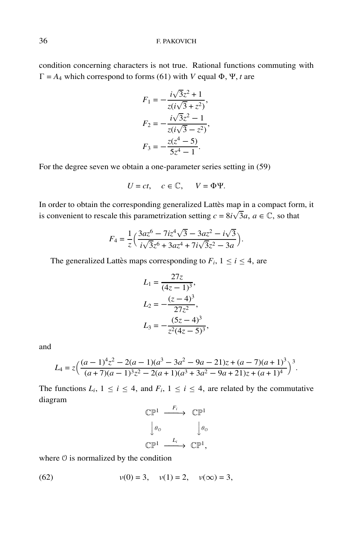condition concerning characters is not true. Rational functions commuting with  $\Gamma = A_4$  which correspond to forms (61) with *V* equal  $\Phi$ , *Y*, *t* are

$$
F_1 = -\frac{i\sqrt{3}z^2 + 1}{z(i\sqrt{3} + z^2)},
$$
  
\n
$$
F_2 = -\frac{i\sqrt{3}z^2 - 1}{z(i\sqrt{3} - z^2)},
$$
  
\n
$$
F_3 = -\frac{z(z^4 - 5)}{5z^4 - 1}.
$$

For the degree seven we obtain a one-parameter series setting in (59)

$$
U = ct, \quad c \in \mathbb{C}, \quad V = \Phi \Psi.
$$

In order to obtain the corresponding generalized Lattès map in a compact form, it is convenient to rescale this parametrization setting  $c = 8i\sqrt{3}a$ ,  $a \in \mathbb{C}$ , so that

$$
F_4 = \frac{1}{z} \left( \frac{3az^6 - 7iz^4\sqrt{3} - 3az^2 - i\sqrt{3}}{i\sqrt{3}z^6 + 3az^4 + 7i\sqrt{3}z^2 - 3a} \right).
$$

The generalized Lattes maps corresponding to  $F_i$ ,  $1 \le i \le 4$ , are

$$
L_1 = \frac{27z}{(4z - 1)^3},
$$
  
\n
$$
L_2 = -\frac{(z - 4)^3}{27z^2},
$$
  
\n
$$
L_3 = -\frac{(5z - 4)^3}{z^2(4z - 5)^3},
$$

and

$$
L_4 = z \Big( \frac{(a-1)^4 z^2 - 2(a-1)(a^3 - 3a^2 - 9a - 21)z + (a-7)(a+1)^3}{(a+7)(a-1)^3 z^2 - 2(a+1)(a^3 + 3a^2 - 9a + 21)z + (a+1)^4} \Big)^3.
$$

The functions  $L_i$ ,  $1 \le i \le 4$ , and  $F_i$ ,  $1 \le i \le 4$ , are related by the commutative diagram

$$
\begin{array}{ccc}\n\mathbb{CP}^1 & \xrightarrow{F_i} & \mathbb{CP}^1 \\
\downarrow \theta_0 & & \downarrow \theta_0 \\
\mathbb{CP}^1 & \xrightarrow{L_i} & \mathbb{CP}^1,\n\end{array}
$$

where O is normalized by the condition

(62) 
$$
v(0) = 3
$$
,  $v(1) = 2$ ,  $v(\infty) = 3$ ,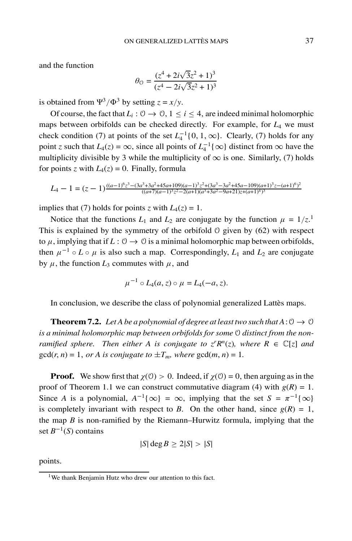and the function

$$
\theta_{0} = \frac{(z^4 + 2i\sqrt{3}z^2 + 1)^3}{(z^4 - 2i\sqrt{3}z^2 + 1)^3}
$$

is obtained from  $\Psi^3/\Phi^3$  by setting  $z = x/y$ .

Of course, the fact that  $L_i: \mathcal{O} \to \mathcal{O}, 1 \leq i \leq 4$ , are indeed minimal holomorphic maps between orbifolds can be checked directly. For example, for *L*<sup>4</sup> we must check condition (7) at points of the set  $L_4^{-1}\{0, 1, \infty\}$ . Clearly, (7) holds for any point *z* such that  $L_4(z) = \infty$ , since all points of  $L_4^{-1} \{\infty\}$  distinct from  $\infty$  have the multiplicity divisible by 3 while the multiplicity of  $\infty$  is one. Similarly, (7) holds for points *z* with  $L_4(z) = 0$ . Finally, formula

$$
L_4 - 1 = (z - 1)^{\frac{((a - 1)^6 z^3 - (3a^3 + 3a^2 + 45a + 109)(a - 1)^3 z^2 + (3a^3 - 3a^2 + 45a - 109)(a + 1)^3 z - (a + 1)^6)^2}{((a + 7)(a - 1)^3 z^2 - 2(a + 1)(a^3 + 3a^2 - 9a + 21)z + (a + 1)^4)^3}}
$$

implies that (7) holds for points *z* with  $L_4(z) = 1$ .

Notice that the functions  $L_1$  and  $L_2$  are conjugate by the function  $\mu = 1/z$ .<sup>1</sup> This is explained by the symmetry of the orbifold O given by (62) with respect to  $\mu$ , implying that if  $L: \mathcal{O} \to \mathcal{O}$  is a minimal holomorphic map between orbifolds, then  $\mu^{-1} \circ L \circ \mu$  is also such a map. Correspondingly,  $L_1$  and  $L_2$  are conjugate by  $\mu$ , the function  $L_3$  commutes with  $\mu$ , and

$$
\mu^{-1} \circ L_4(a, z) \circ \mu = L_4(-a, z).
$$

In conclusion, we describe the class of polynomial generalized Lattes maps.

**Theorem 7.2.** *Let A be a polynomial of degree at least two such that A*:  $0 \rightarrow 0$ *is a minimal holomorphic map between orbifolds for some* O *distinct from the nonramified sphere. Then either A is conjugate to*  $z^r R^n(z)$ *, where*  $R \in \mathbb{C}[z]$  *and*  $gcd(r, n) = 1$ , *or A is conjugate to*  $\pm T_m$ , *where*  $gcd(m, n) = 1$ .

**Proof.** We show first that  $\chi$ (0) > 0. Indeed, if  $\chi$ (0) = 0, then arguing as in the proof of Theorem 1.1 we can construct commutative diagram (4) with  $g(R) = 1$ . Since *A* is a polynomial,  $A^{-1}\{\infty\} = \infty$ , implying that the set  $S = \pi^{-1}\{\infty\}$ is completely invariant with respect to *B*. On the other hand, since  $g(R) = 1$ , the map *B* is non-ramified by the Riemann–Hurwitz formula, implying that the set *B*<sup>−</sup>1(*S*) contains

$$
|S|\deg B \ge 2|S| > |S|
$$

points.

<sup>&</sup>lt;sup>1</sup>We thank Benjamin Hutz who drew our attention to this fact.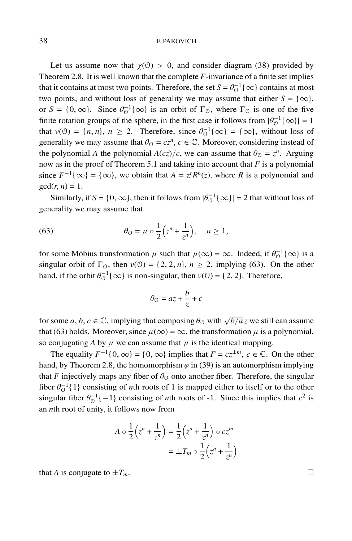Let us assume now that  $\chi$ (0) > 0, and consider diagram (38) provided by Theorem 2.8. It is well known that the complete *F*-invariance of a finite set implies that it contains at most two points. Therefore, the set  $S = \theta_{\mathcal{O}}^{-1}\{\infty\}$  contains at most two points, and without loss of generality we may assume that either  $S = \{\infty\},\$ or  $S = \{0, \infty\}$ . Since  $\theta_{\mathcal{O}}^{-1}\{\infty\}$  is an orbit of  $\Gamma_{\mathcal{O}}$ , where  $\Gamma_{\mathcal{O}}$  is one of the five finite rotation groups of the sphere, in the first case it follows from  $|\theta_{\mathcal{O}}^{-1}\{\infty\}| = 1$ that  $v(0) = \{n, n\}, n \ge 2$ . Therefore, since  $\theta_0^{-1}\{\infty\} = \{\infty\}$ , without loss of generality we may assume that  $\theta_0 = cz^n$ ,  $c \in \mathbb{C}$ . Moreover, considering instead of the polynomial *A* the polynomial  $A(cz)/c$ , we can assume that  $\theta_{\mathcal{O}} = z^n$ . Arguing now as in the proof of Theorem 5.1 and taking into account that *F* is a polynomial since  $F^{-1}\{\infty\} = \{\infty\}$ , we obtain that  $A = z^{r}R^{n}(z)$ , where *R* is a polynomial and  $gcd(r, n) = 1$ .

Similarly, if *S* = {0, ∞}, then it follows from  $|\theta_{\mathcal{O}}^{-1}\{\infty\}| = 2$  that without loss of generality we may assume that

(63) 
$$
\theta_0 = \mu \circ \frac{1}{2} \left( z^n + \frac{1}{z^n} \right), \quad n \ge 1,
$$

for some Möbius transformation  $\mu$  such that  $\mu(\infty) = \infty$ . Indeed, if  $\theta_0^{-1}\{\infty\}$  is a singular orbit of  $\Gamma_0$ , then  $v(0) = \{2, 2, n\}$ ,  $n \ge 2$ , implying (63). On the other hand, if the orbit  $\theta_{\mathcal{O}}^{-1}\{\infty\}$  is non-singular, then  $v(\mathcal{O}) = \{2, 2\}$ . Therefore,

$$
\theta_{\mathcal{O}} = az + \frac{b}{z} + c
$$

for some *a*, *b*, *c*  $\in \mathbb{C}$ , implying that composing  $\theta_0$  with  $\sqrt{b/a}z$  we still can assume that (63) holds. Moreover, since  $\mu(\infty) = \infty$ , the transformation  $\mu$  is a polynomial, so conjugating *A* by  $\mu$  we can assume that  $\mu$  is the identical mapping.

The equality  $F^{-1}\{0,\infty\} = \{0,\infty\}$  implies that  $F = cz^{\pm m}$ ,  $c \in \mathbb{C}$ . On the other hand, by Theorem 2.8, the homomorphism  $\varphi$  in (39) is an automorphism implying that *F* injectively maps any fiber of  $\theta_{\mathcal{O}}$  onto another fiber. Therefore, the singular fiber  $\theta_{\mathcal{O}}^{-1}\{1\}$  consisting of *n*th roots of 1 is mapped either to itself or to the other singular fiber  $\theta_0^{-1}\{-1\}$  consisting of *n*th roots of -1. Since this implies that  $c^2$  is an *n*th root of unity, it follows now from

$$
A \circ \frac{1}{2} \left( z^n + \frac{1}{z^n} \right) = \frac{1}{2} \left( z^n + \frac{1}{z^n} \right) \circ cz^m
$$

$$
= \pm T_m \circ \frac{1}{2} \left( z^n + \frac{1}{z^n} \right)
$$

that *A* is conjugate to  $\pm T_m$ .